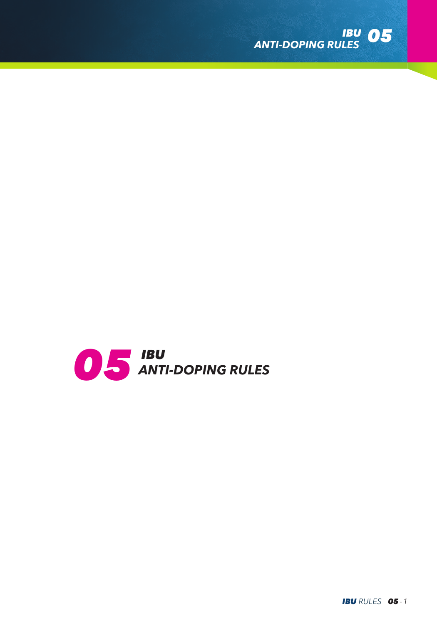

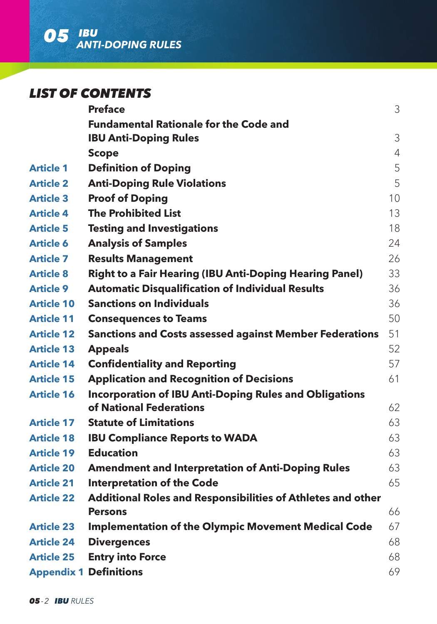

# *LIST OF CONTENTS*

|                   | <b>Preface</b>                                                 | 3              |
|-------------------|----------------------------------------------------------------|----------------|
|                   | <b>Fundamental Rationale for the Code and</b>                  |                |
|                   | <b>IBU Anti-Doping Rules</b>                                   | 3              |
|                   | <b>Scope</b>                                                   | $\overline{4}$ |
| <b>Article 1</b>  | <b>Definition of Doping</b>                                    | 5              |
| <b>Article 2</b>  | <b>Anti-Doping Rule Violations</b>                             | 5              |
| <b>Article 3</b>  | <b>Proof of Doping</b>                                         | 10             |
| <b>Article 4</b>  | <b>The Prohibited List</b>                                     | 13             |
| <b>Article 5</b>  | <b>Testing and Investigations</b>                              | 18             |
| <b>Article 6</b>  | <b>Analysis of Samples</b>                                     | 24             |
| <b>Article 7</b>  | <b>Results Management</b>                                      | 26             |
| <b>Article 8</b>  | <b>Right to a Fair Hearing (IBU Anti-Doping Hearing Panel)</b> | 33             |
| <b>Article 9</b>  | <b>Automatic Disqualification of Individual Results</b>        | 36             |
| <b>Article 10</b> | <b>Sanctions on Individuals</b>                                | 36             |
| <b>Article 11</b> | <b>Consequences to Teams</b>                                   | 50             |
| <b>Article 12</b> | <b>Sanctions and Costs assessed against Member Federations</b> | 51             |
| <b>Article 13</b> | <b>Appeals</b>                                                 | 52             |
| <b>Article 14</b> | <b>Confidentiality and Reporting</b>                           | 57             |
| <b>Article 15</b> | <b>Application and Recognition of Decisions</b>                | 61             |
| <b>Article 16</b> | <b>Incorporation of IBU Anti-Doping Rules and Obligations</b>  |                |
|                   | of National Federations                                        | 62             |
| <b>Article 17</b> | <b>Statute of Limitations</b>                                  | 63             |
| <b>Article 18</b> | <b>IBU Compliance Reports to WADA</b>                          | 63             |
| <b>Article 19</b> | <b>Education</b>                                               | 63             |
| <b>Article 20</b> | <b>Amendment and Interpretation of Anti-Doping Rules</b>       | 63             |
| <b>Article 21</b> | <b>Interpretation of the Code</b>                              | 65             |
| <b>Article 22</b> | Additional Roles and Responsibilities of Athletes and other    |                |
|                   | <b>Persons</b>                                                 | 66             |
| <b>Article 23</b> | <b>Implementation of the Olympic Movement Medical Code</b>     | 67             |
| <b>Article 24</b> | <b>Divergences</b>                                             | 68             |
| <b>Article 25</b> | <b>Entry into Force</b>                                        | 68             |
|                   | <b>Appendix 1 Definitions</b>                                  | 69             |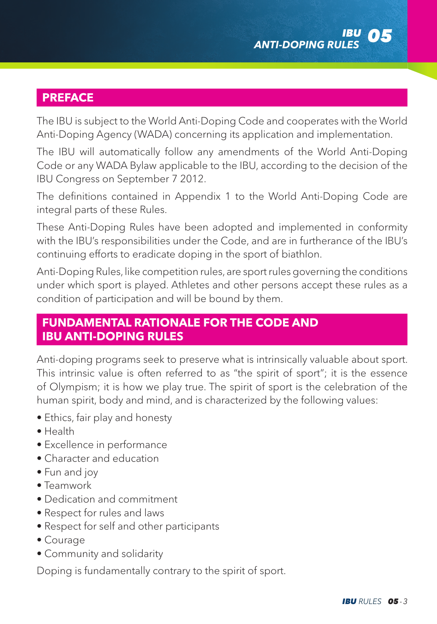

# **PREFACE**

The IBU is subject to the World Anti-Doping Code and cooperates with the World Anti-Doping Agency (WADA) concerning its application and implementation.

The IBU will automatically follow any amendments of the World Anti-Doping Code or any WADA Bylaw applicable to the IBU, according to the decision of the IBU Congress on September 7 2012.

The definitions contained in Appendix 1 to the World Anti-Doping Code are integral parts of these Rules.

These Anti-Doping Rules have been adopted and implemented in conformity with the IBU's responsibilities under the Code, and are in furtherance of the IBU's continuing efforts to eradicate doping in the sport of biathlon.

Anti-Doping Rules, like competition rules, are sport rules governing the conditions under which sport is played. Athletes and other persons accept these rules as a condition of participation and will be bound by them.

# **FUNDAMENTAL RATIONALE FOR THE CODE AND IBU ANTI-DOPING RULES**

Anti-doping programs seek to preserve what is intrinsically valuable about sport. This intrinsic value is often referred to as "the spirit of sport"; it is the essence of Olympism; it is how we play true. The spirit of sport is the celebration of the human spirit, body and mind, and is characterized by the following values:

- Ethics, fair play and honesty
- Health
- Excellence in performance
- Character and education
- Fun and joy
- Teamwork
- Dedication and commitment
- Respect for rules and laws
- Respect for self and other participants
- Courage
- Community and solidarity

Doping is fundamentally contrary to the spirit of sport.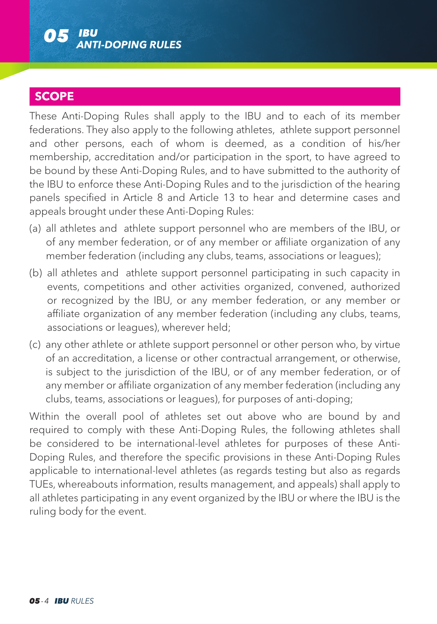

# **SCOPE**

These Anti-Doping Rules shall apply to the IBU and to each of its member federations. They also apply to the following athletes, athlete support personnel and other persons, each of whom is deemed, as a condition of his/her membership, accreditation and/or participation in the sport, to have agreed to be bound by these Anti-Doping Rules, and to have submitted to the authority of the IBU to enforce these Anti-Doping Rules and to the jurisdiction of the hearing panels specified in Article 8 and Article 13 to hear and determine cases and appeals brought under these Anti-Doping Rules:

- (a) all athletes and athlete support personnel who are members of the IBU, or of any member federation, or of any member or affiliate organization of any member federation (including any clubs, teams, associations or leagues);
- (b) all athletes and athlete support personnel participating in such capacity in events, competitions and other activities organized, convened, authorized or recognized by the IBU, or any member federation, or any member or affiliate organization of any member federation (including any clubs, teams, associations or leagues), wherever held;
- (c) any other athlete or athlete support personnel or other person who, by virtue of an accreditation, a license or other contractual arrangement, or otherwise, is subject to the jurisdiction of the IBU, or of any member federation, or of any member or affiliate organization of any member federation (including any clubs, teams, associations or leagues), for purposes of anti-doping;

Within the overall pool of athletes set out above who are bound by and required to comply with these Anti-Doping Rules, the following athletes shall be considered to be international-level athletes for purposes of these Anti-Doping Rules, and therefore the specific provisions in these Anti-Doping Rules applicable to international-level athletes (as regards testing but also as regards TUEs, whereabouts information, results management, and appeals) shall apply to all athletes participating in any event organized by the IBU or where the IBU is the ruling body for the event.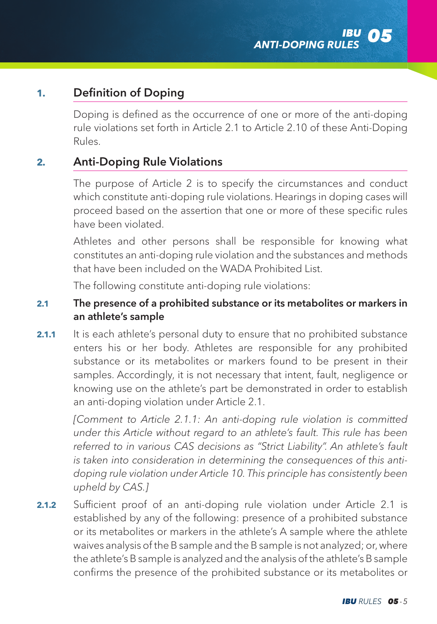# **1.** Definition of Doping

Doping is defined as the occurrence of one or more of the anti-doping rule violations set forth in Article 2.1 to Article 2.10 of these Anti-Doping Rules.

# **2.** Anti-Doping Rule Violations

The purpose of Article 2 is to specify the circumstances and conduct which constitute anti-doping rule violations. Hearings in doping cases will proceed based on the assertion that one or more of these specific rules have been violated.

Athletes and other persons shall be responsible for knowing what constitutes an anti-doping rule violation and the substances and methods that have been included on the WADA Prohibited List.

The following constitute anti-doping rule violations:

### **2.1** The presence of a prohibited substance or its metabolites or markers in an athlete's sample

**2.1.1** It is each athlete's personal duty to ensure that no prohibited substance enters his or her body. Athletes are responsible for any prohibited substance or its metabolites or markers found to be present in their samples. Accordingly, it is not necessary that intent, fault, negligence or knowing use on the athlete's part be demonstrated in order to establish an anti-doping violation under Article 2.1.

*[Comment to Article 2.1.1: An anti-doping rule violation is committed under this Article without regard to an athlete's fault. This rule has been*  referred to in various CAS decisions as "Strict Liability". An athlete's fault *is taken into consideration in determining the consequences of this antidoping rule violation under Article 10. This principle has consistently been upheld by CAS.]*

**2.1.2** Sufficient proof of an anti-doping rule violation under Article 2.1 is established by any of the following: presence of a prohibited substance or its metabolites or markers in the athlete's A sample where the athlete waives analysis of the B sample and the B sample is not analyzed; or, where the athlete's B sample is analyzed and the analysis of the athlete's B sample confirms the presence of the prohibited substance or its metabolites or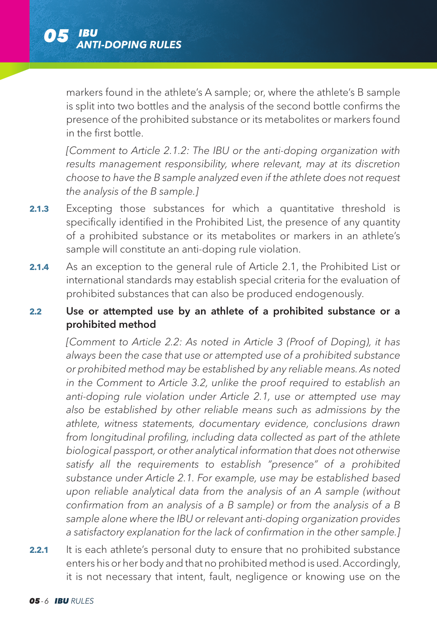markers found in the athlete's A sample; or, where the athlete's B sample is split into two bottles and the analysis of the second bottle confirms the presence of the prohibited substance or its metabolites or markers found in the first bottle.

*[Comment to Article 2.1.2: The IBU or the anti-doping organization with results management responsibility, where relevant, may at its discretion choose to have the B sample analyzed even if the athlete does not request the analysis of the B sample.]*

- **2.1.3** Excepting those substances for which a quantitative threshold is specifically identified in the Prohibited List, the presence of any quantity of a prohibited substance or its metabolites or markers in an athlete's sample will constitute an anti-doping rule violation.
- **2.1.4** As an exception to the general rule of Article 2.1, the Prohibited List or international standards may establish special criteria for the evaluation of prohibited substances that can also be produced endogenously.

### **2.2** Use or attempted use by an athlete of a prohibited substance or a prohibited method

*[Comment to Article 2.2: As noted in Article 3 (Proof of Doping), it has always been the case that use or attempted use of a prohibited substance or prohibited method may be established by any reliable means. As noted in the Comment to Article 3.2, unlike the proof required to establish an anti-doping rule violation under Article 2.1, use or attempted use may also be established by other reliable means such as admissions by the athlete, witness statements, documentary evidence, conclusions drawn from longitudinal profiling, including data collected as part of the athlete biological passport, or other analytical information that does not otherwise satisfy all the requirements to establish "presence" of a prohibited substance under Article 2.1. For example, use may be established based upon reliable analytical data from the analysis of an A sample (without confirmation from an analysis of a B sample) or from the analysis of a B sample alone where the IBU or relevant anti-doping organization provides a satisfactory explanation for the lack of confirmation in the other sample.]*

**2.2.1** It is each athlete's personal duty to ensure that no prohibited substance enters his or her body and that no prohibited method is used. Accordingly, it is not necessary that intent, fault, negligence or knowing use on the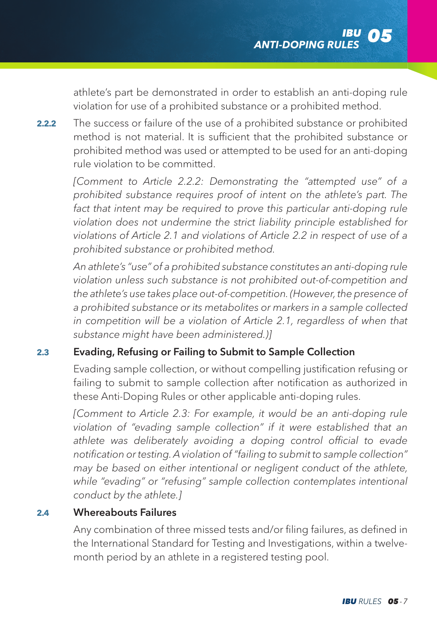athlete's part be demonstrated in order to establish an anti-doping rule violation for use of a prohibited substance or a prohibited method.

**2.2.2** The success or failure of the use of a prohibited substance or prohibited method is not material. It is sufficient that the prohibited substance or prohibited method was used or attempted to be used for an anti-doping rule violation to be committed.

*[Comment to Article 2.2.2: Demonstrating the "attempted use" of a prohibited substance requires proof of intent on the athlete's part. The fact that intent may be required to prove this particular anti-doping rule violation does not undermine the strict liability principle established for violations of Article 2.1 and violations of Article 2.2 in respect of use of a prohibited substance or prohibited method.* 

 *An athlete's "use" of a prohibited substance constitutes an anti-doping rule violation unless such substance is not prohibited out-of-competition and the athlete's use takes place out-of-competition. (However, the presence of a prohibited substance or its metabolites or markers in a sample collected in competition will be a violation of Article 2.1, regardless of when that substance might have been administered.)]*

### **2.3** Evading, Refusing or Failing to Submit to Sample Collection

 Evading sample collection, or without compelling justification refusing or failing to submit to sample collection after notification as authorized in these Anti-Doping Rules or other applicable anti-doping rules.

*[Comment to Article 2.3: For example, it would be an anti-doping rule violation of "evading sample collection" if it were established that an athlete was deliberately avoiding a doping control official to evade notification or testing. A violation of "failing to submit to sample collection" may be based on either intentional or negligent conduct of the athlete,*  while "evading" or "refusing" sample collection contemplates intentional *conduct by the athlete.]*

### **2.4** Whereabouts Failures

 Any combination of three missed tests and/or filing failures, as defined in the International Standard for Testing and Investigations, within a twelvemonth period by an athlete in a registered testing pool.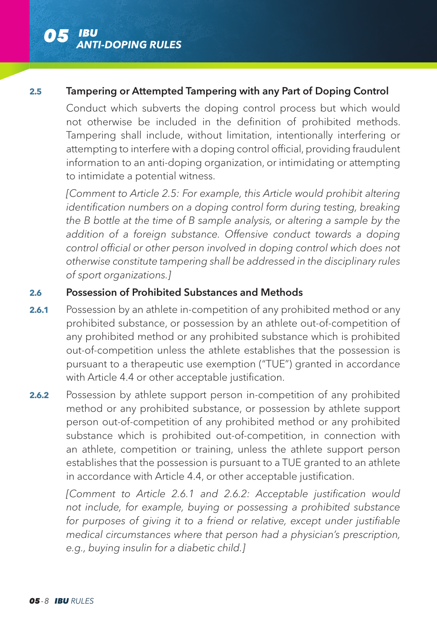

#### **2.5** Tampering or Attempted Tampering with any Part of Doping Control

 Conduct which subverts the doping control process but which would not otherwise be included in the definition of prohibited methods. Tampering shall include, without limitation, intentionally interfering or attempting to interfere with a doping control official, providing fraudulent information to an anti-doping organization, or intimidating or attempting to intimidate a potential witness.

 *[Comment to Article 2.5: For example, this Article would prohibit altering identification numbers on a doping control form during testing, breaking the B bottle at the time of B sample analysis, or altering a sample by the addition of a foreign substance. Offensive conduct towards a doping control official or other person involved in doping control which does not otherwise constitute tampering shall be addressed in the disciplinary rules of sport organizations.]*

### **2.6** Possession of Prohibited Substances and Methods

- **2.6.1** Possession by an athlete in-competition of any prohibited method or any prohibited substance, or possession by an athlete out-of-competition of any prohibited method or any prohibited substance which is prohibited out-of-competition unless the athlete establishes that the possession is pursuant to a therapeutic use exemption ("TUE") granted in accordance with Article 4.4 or other acceptable justification.
- **2.6.2** Possession by athlete support person in-competition of any prohibited method or any prohibited substance, or possession by athlete support person out-of-competition of any prohibited method or any prohibited substance which is prohibited out-of-competition, in connection with an athlete, competition or training, unless the athlete support person establishes that the possession is pursuant to a TUE granted to an athlete in accordance with Article 4.4, or other acceptable justification.

*[Comment to Article 2.6.1 and 2.6.2: Acceptable justification would not include, for example, buying or possessing a prohibited substance for purposes of giving it to a friend or relative, except under justifiable medical circumstances where that person had a physician's prescription, e.g., buying insulin for a diabetic child.]*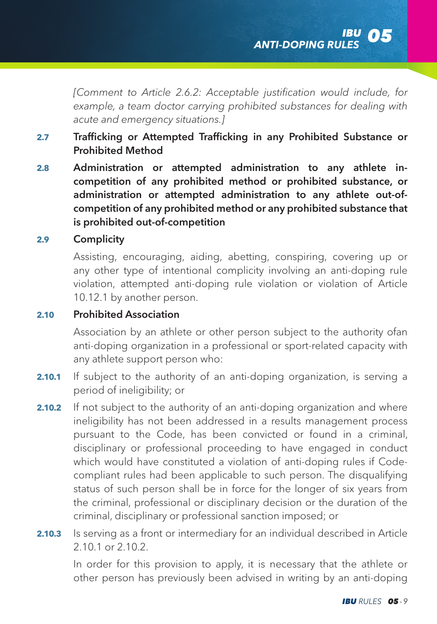*[Comment to Article 2.6.2: Acceptable justification would include, for example, a team doctor carrying prohibited substances for dealing with acute and emergency situations.]*

- **2.7** Trafficking or Attempted Trafficking in any Prohibited Substance or Prohibited Method
- **2.8** Administration or attempted administration to any athlete incompetition of any prohibited method or prohibited substance, or administration or attempted administration to any athlete out-ofcompetition of any prohibited method or any prohibited substance that is prohibited out-of-competition

### **2.9** Complicity

 Assisting, encouraging, aiding, abetting, conspiring, covering up or any other type of intentional complicity involving an anti-doping rule violation, attempted anti-doping rule violation or violation of Article 10.12.1 by another person.

### **2.10** Prohibited Association

 Association by an athlete or other person subject to the authority ofan anti-doping organization in a professional or sport-related capacity with any athlete support person who:

- **2.10.1** If subject to the authority of an anti-doping organization, is serving a period of ineligibility; or
- **2.10.2** If not subject to the authority of an anti-doping organization and where ineligibility has not been addressed in a results management process pursuant to the Code, has been convicted or found in a criminal, disciplinary or professional proceeding to have engaged in conduct which would have constituted a violation of anti-doping rules if Codecompliant rules had been applicable to such person. The disqualifying status of such person shall be in force for the longer of six years from the criminal, professional or disciplinary decision or the duration of the criminal, disciplinary or professional sanction imposed; or
- **2.10.3** Is serving as a front or intermediary for an individual described in Article 2.10.1 or 2.10.2.

 In order for this provision to apply, it is necessary that the athlete or other person has previously been advised in writing by an anti-doping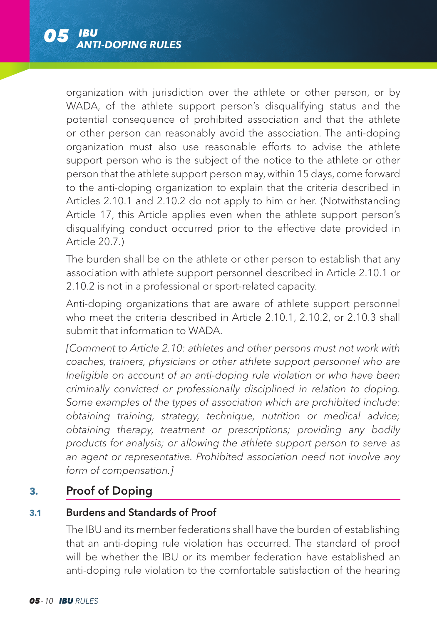

organization with jurisdiction over the athlete or other person, or by WADA, of the athlete support person's disqualifying status and the potential consequence of prohibited association and that the athlete or other person can reasonably avoid the association. The anti-doping organization must also use reasonable efforts to advise the athlete support person who is the subject of the notice to the athlete or other person that the athlete support person may, within 15 days, come forward to the anti-doping organization to explain that the criteria described in Articles 2.10.1 and 2.10.2 do not apply to him or her. (Notwithstanding Article 17, this Article applies even when the athlete support person's disqualifying conduct occurred prior to the effective date provided in Article 20.7.)

 The burden shall be on the athlete or other person to establish that any association with athlete support personnel described in Article 2.10.1 or 2.10.2 is not in a professional or sport-related capacity.

 Anti-doping organizations that are aware of athlete support personnel who meet the criteria described in Article 2.10.1, 2.10.2, or 2.10.3 shall submit that information to WADA.

*[Comment to Article 2.10: athletes and other persons must not work with coaches, trainers, physicians or other athlete support personnel who are Ineligible on account of an anti-doping rule violation or who have been criminally convicted or professionally disciplined in relation to doping. Some examples of the types of association which are prohibited include: obtaining training, strategy, technique, nutrition or medical advice; obtaining therapy, treatment or prescriptions; providing any bodily products for analysis; or allowing the athlete support person to serve as an agent or representative. Prohibited association need not involve any form of compensation.]*

# **3.** Proof of Doping

## **3.1** Burdens and Standards of Proof

 The IBU and its member federations shall have the burden of establishing that an anti-doping rule violation has occurred. The standard of proof will be whether the IBU or its member federation have established an anti-doping rule violation to the comfortable satisfaction of the hearing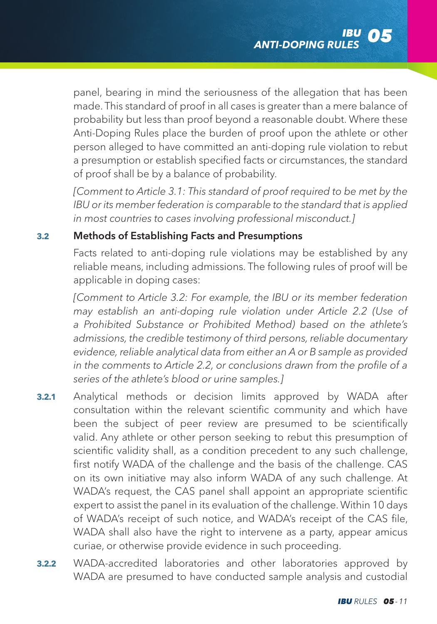panel, bearing in mind the seriousness of the allegation that has been made. This standard of proof in all cases is greater than a mere balance of probability but less than proof beyond a reasonable doubt. Where these Anti-Doping Rules place the burden of proof upon the athlete or other person alleged to have committed an anti-doping rule violation to rebut a presumption or establish specified facts or circumstances, the standard of proof shall be by a balance of probability.

*[Comment to Article 3.1: This standard of proof required to be met by the IBU or its member federation is comparable to the standard that is applied in most countries to cases involving professional misconduct.]*

### **3.2** Methods of Establishing Facts and Presumptions

 Facts related to anti-doping rule violations may be established by any reliable means, including admissions. The following rules of proof will be applicable in doping cases:

*[Comment to Article 3.2: For example, the IBU or its member federation may establish an anti-doping rule violation under Article 2.2 (Use of a Prohibited Substance or Prohibited Method) based on the athlete's admissions, the credible testimony of third persons, reliable documentary evidence, reliable analytical data from either an A or B sample as provided in the comments to Article 2.2, or conclusions drawn from the profile of a series of the athlete's blood or urine samples.]*

- **3.2.1** Analytical methods or decision limits approved by WADA after consultation within the relevant scientific community and which have been the subject of peer review are presumed to be scientifically valid. Any athlete or other person seeking to rebut this presumption of scientific validity shall, as a condition precedent to any such challenge, first notify WADA of the challenge and the basis of the challenge. CAS on its own initiative may also inform WADA of any such challenge. At WADA's request, the CAS panel shall appoint an appropriate scientific expert to assist the panel in its evaluation of the challenge. Within 10 days of WADA's receipt of such notice, and WADA's receipt of the CAS file, WADA shall also have the right to intervene as a party, appear amicus curiae, or otherwise provide evidence in such proceeding.
- **3.2.2** WADA-accredited laboratories and other laboratories approved by WADA are presumed to have conducted sample analysis and custodial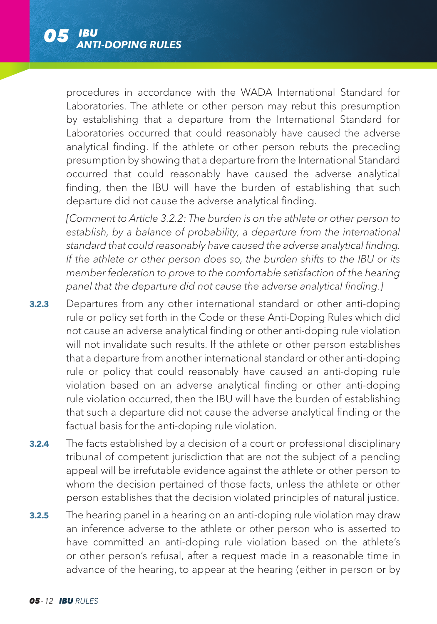

procedures in accordance with the WADA International Standard for Laboratories. The athlete or other person may rebut this presumption by establishing that a departure from the International Standard for Laboratories occurred that could reasonably have caused the adverse analytical finding. If the athlete or other person rebuts the preceding presumption by showing that a departure from the International Standard occurred that could reasonably have caused the adverse analytical finding, then the IBU will have the burden of establishing that such departure did not cause the adverse analytical finding.

*[Comment to Article 3.2.2: The burden is on the athlete or other person to establish, by a balance of probability, a departure from the international standard that could reasonably have caused the adverse analytical finding. If the athlete or other person does so, the burden shifts to the IBU or its member federation to prove to the comfortable satisfaction of the hearing panel that the departure did not cause the adverse analytical finding.]*

- **3.2.3** Departures from any other international standard or other anti-doping rule or policy set forth in the Code or these Anti-Doping Rules which did not cause an adverse analytical finding or other anti-doping rule violation will not invalidate such results. If the athlete or other person establishes that a departure from another international standard or other anti-doping rule or policy that could reasonably have caused an anti-doping rule violation based on an adverse analytical finding or other anti-doping rule violation occurred, then the IBU will have the burden of establishing that such a departure did not cause the adverse analytical finding or the factual basis for the anti-doping rule violation.
- **3.2.4** The facts established by a decision of a court or professional disciplinary tribunal of competent jurisdiction that are not the subject of a pending appeal will be irrefutable evidence against the athlete or other person to whom the decision pertained of those facts, unless the athlete or other person establishes that the decision violated principles of natural justice.
- **3.2.5** The hearing panel in a hearing on an anti-doping rule violation may draw an inference adverse to the athlete or other person who is asserted to have committed an anti-doping rule violation based on the athlete's or other person's refusal, after a request made in a reasonable time in advance of the hearing, to appear at the hearing (either in person or by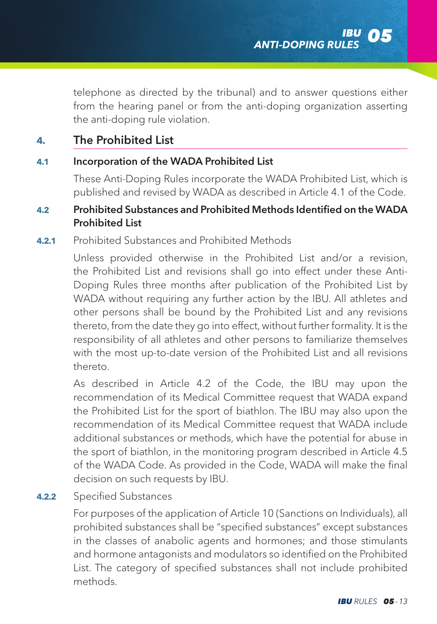telephone as directed by the tribunal) and to answer questions either from the hearing panel or from the anti-doping organization asserting the anti-doping rule violation.

# **4.** The Prohibited List

### **4.1** Incorporation of the WADA Prohibited List

 These Anti-Doping Rules incorporate the WADA Prohibited List, which is published and revised by WADA as described in Article 4.1 of the Code.

### **4.2** Prohibited Substances and Prohibited Methods Identified on the WADA Prohibited List

#### **4.2.1** Prohibited Substances and Prohibited Methods

 Unless provided otherwise in the Prohibited List and/or a revision, the Prohibited List and revisions shall go into effect under these Anti-Doping Rules three months after publication of the Prohibited List by WADA without requiring any further action by the IBU. All athletes and other persons shall be bound by the Prohibited List and any revisions thereto, from the date they go into effect, without further formality. It is the responsibility of all athletes and other persons to familiarize themselves with the most up-to-date version of the Prohibited List and all revisions thereto.

 As described in Article 4.2 of the Code, the IBU may upon the recommendation of its Medical Committee request that WADA expand the Prohibited List for the sport of biathlon. The IBU may also upon the recommendation of its Medical Committee request that WADA include additional substances or methods, which have the potential for abuse in the sport of biathlon, in the monitoring program described in Article 4.5 of the WADA Code. As provided in the Code, WADA will make the final decision on such requests by IBU.

### **4.2.2** Specified Substances

 For purposes of the application of Article 10 (Sanctions on Individuals), all prohibited substances shall be "specified substances" except substances in the classes of anabolic agents and hormones; and those stimulants and hormone antagonists and modulators so identified on the Prohibited List. The category of specified substances shall not include prohibited methods.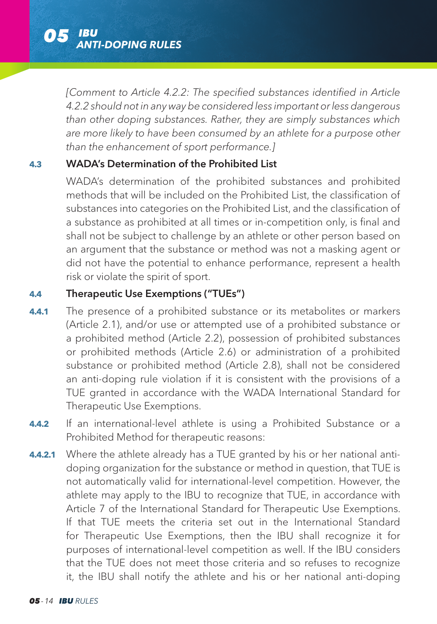

*[Comment to Article 4.2.2: The specified substances identified in Article 4.2.2 should not in any way be considered less important or less dangerous than other doping substances. Rather, they are simply substances which are more likely to have been consumed by an athlete for a purpose other than the enhancement of sport performance.]*

### **4.3** WADA's Determination of the Prohibited List

 WADA's determination of the prohibited substances and prohibited methods that will be included on the Prohibited List, the classification of substances into categories on the Prohibited List, and the classification of a substance as prohibited at all times or in-competition only, is final and shall not be subject to challenge by an athlete or other person based on an argument that the substance or method was not a masking agent or did not have the potential to enhance performance, represent a health risk or violate the spirit of sport.

### **4.4** Therapeutic Use Exemptions ("TUEs")

- **4.4.1** The presence of a prohibited substance or its metabolites or markers (Article 2.1), and/or use or attempted use of a prohibited substance or a prohibited method (Article 2.2), possession of prohibited substances or prohibited methods (Article 2.6) or administration of a prohibited substance or prohibited method (Article 2.8), shall not be considered an anti-doping rule violation if it is consistent with the provisions of a TUE granted in accordance with the WADA International Standard for Therapeutic Use Exemptions.
- **4.4.2** If an international-level athlete is using a Prohibited Substance or a Prohibited Method for therapeutic reasons:
- **4.4.2.1** Where the athlete already has a TUE granted by his or her national antidoping organization for the substance or method in question, that TUE is not automatically valid for international-level competition. However, the athlete may apply to the IBU to recognize that TUE, in accordance with Article 7 of the International Standard for Therapeutic Use Exemptions. If that TUE meets the criteria set out in the International Standard for Therapeutic Use Exemptions, then the IBU shall recognize it for purposes of international-level competition as well. If the IBU considers that the TUE does not meet those criteria and so refuses to recognize it, the IBU shall notify the athlete and his or her national anti-doping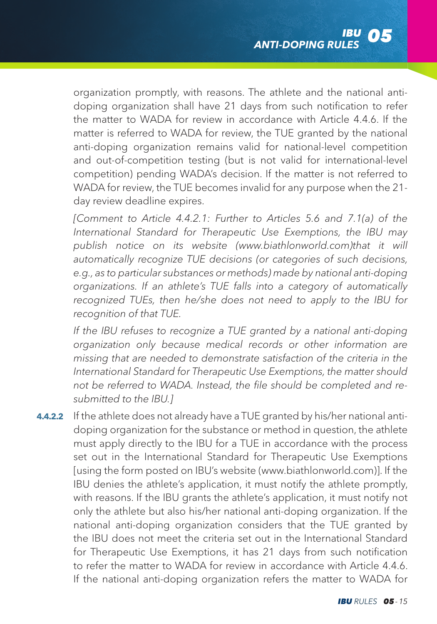organization promptly, with reasons. The athlete and the national antidoping organization shall have 21 days from such notification to refer the matter to WADA for review in accordance with Article 4.4.6. If the matter is referred to WADA for review, the TUE granted by the national anti-doping organization remains valid for national-level competition and out-of-competition testing (but is not valid for international-level competition) pending WADA's decision. If the matter is not referred to WADA for review, the TUE becomes invalid for any purpose when the 21 day review deadline expires.

 *[Comment to Article 4.4.2.1: Further to Articles 5.6 and 7.1(a) of the International Standard for Therapeutic Use Exemptions, the IBU may publish notice on its website (www.biathlonworld.com)that it will automatically recognize TUE decisions (or categories of such decisions, e.g., as to particular substances or methods) made by national anti-doping organizations. If an athlete's TUE falls into a category of automatically recognized TUEs, then he/she does not need to apply to the IBU for recognition of that TUE.*

 *If the IBU refuses to recognize a TUE granted by a national anti-doping organization only because medical records or other information are missing that are needed to demonstrate satisfaction of the criteria in the International Standard for Therapeutic Use Exemptions, the matter should not be referred to WADA. Instead, the file should be completed and resubmitted to the IBU.]*

**4.4.2.2** If the athlete does not already have a TUE granted by his/her national antidoping organization for the substance or method in question, the athlete must apply directly to the IBU for a TUE in accordance with the process set out in the International Standard for Therapeutic Use Exemptions [using the form posted on IBU's website (www.biathlonworld.com)]. If the IBU denies the athlete's application, it must notify the athlete promptly, with reasons. If the IBU grants the athlete's application, it must notify not only the athlete but also his/her national anti-doping organization. If the national anti-doping organization considers that the TUE granted by the IBU does not meet the criteria set out in the International Standard for Therapeutic Use Exemptions, it has 21 days from such notification to refer the matter to WADA for review in accordance with Article 4.4.6. If the national anti-doping organization refers the matter to WADA for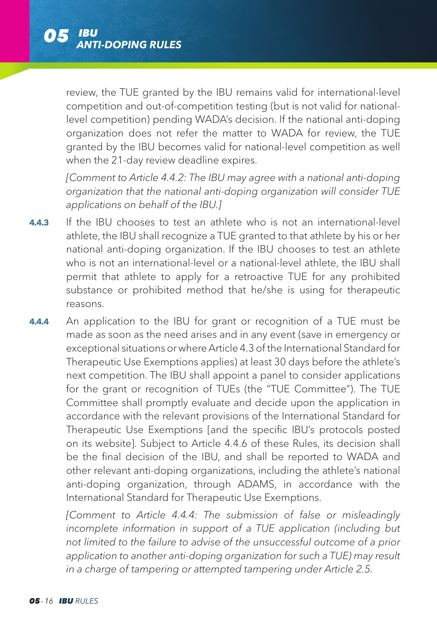

review, the TUE granted by the IBU remains valid for international-level competition and out-of-competition testing (but is not valid for nationallevel competition) pending WADA's decision. If the national anti-doping organization does not refer the matter to WADA for review, the TUE granted by the IBU becomes valid for national-level competition as well when the 21-day review deadline expires.

*[Comment to Article 4.4.2: The IBU may agree with a national anti-doping organization that the national anti-doping organization will consider TUE applications on behalf of the IBU.]*

- **4.4.3** If the IBU chooses to test an athlete who is not an international-level athlete, the IBU shall recognize a TUE granted to that athlete by his or her national anti-doping organization. If the IBU chooses to test an athlete who is not an international-level or a national-level athlete, the IBU shall permit that athlete to apply for a retroactive TUE for any prohibited substance or prohibited method that he/she is using for therapeutic reasons.
- **4.4.4** An application to the IBU for grant or recognition of a TUE must be made as soon as the need arises and in any event (save in emergency or exceptional situations or where Article 4.3 of the International Standard for Therapeutic Use Exemptions applies) at least 30 days before the athlete's next competition. The IBU shall appoint a panel to consider applications for the grant or recognition of TUEs (the "TUE Committee"). The TUE Committee shall promptly evaluate and decide upon the application in accordance with the relevant provisions of the International Standard for Therapeutic Use Exemptions [and the specific IBU's protocols posted on its website]. Subject to Article 4.4.6 of these Rules, its decision shall be the final decision of the IBU, and shall be reported to WADA and other relevant anti-doping organizations, including the athlete's national anti-doping organization, through ADAMS, in accordance with the International Standard for Therapeutic Use Exemptions.

*[Comment to Article 4.4.4: The submission of false or misleadingly incomplete information in support of a TUE application (including but not limited to the failure to advise of the unsuccessful outcome of a prior application to another anti-doping organization for such a TUE) may result in a charge of tampering or attempted tampering under Article 2.5.*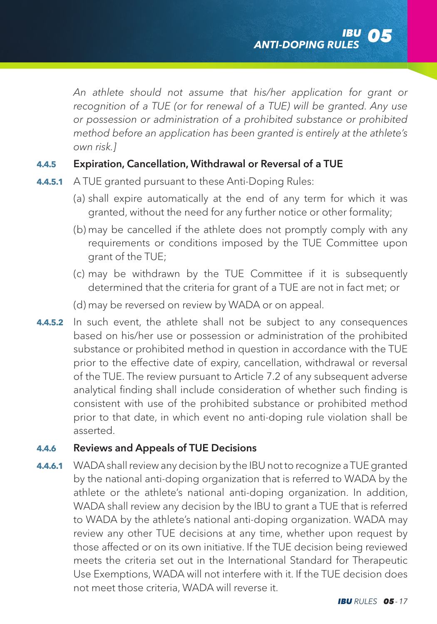*An athlete should not assume that his/her application for grant or recognition of a TUE (or for renewal of a TUE) will be granted. Any use or possession or administration of a prohibited substance or prohibited method before an application has been granted is entirely at the athlete's own risk.]* 

### **4.4.5** Expiration, Cancellation, Withdrawal or Reversal of a TUE

- **4.4.5.1** A TUE granted pursuant to these Anti-Doping Rules:
	- (a) shall expire automatically at the end of any term for which it was granted, without the need for any further notice or other formality;
	- (b) may be cancelled if the athlete does not promptly comply with any requirements or conditions imposed by the TUE Committee upon grant of the TUE;
	- (c) may be withdrawn by the TUE Committee if it is subsequently determined that the criteria for grant of a TUE are not in fact met; or
	- (d) may be reversed on review by WADA or on appeal.
- **4.4.5.2** In such event, the athlete shall not be subject to any consequences based on his/her use or possession or administration of the prohibited substance or prohibited method in question in accordance with the TUE prior to the effective date of expiry, cancellation, withdrawal or reversal of the TUE. The review pursuant to Article 7.2 of any subsequent adverse analytical finding shall include consideration of whether such finding is consistent with use of the prohibited substance or prohibited method prior to that date, in which event no anti-doping rule violation shall be asserted.

### **4.4.6** Reviews and Appeals of TUE Decisions

**4.4.6.1** WADA shall review any decision by the IBU not to recognize a TUE granted by the national anti-doping organization that is referred to WADA by the athlete or the athlete's national anti-doping organization. In addition, WADA shall review any decision by the IBU to grant a TUE that is referred to WADA by the athlete's national anti-doping organization. WADA may review any other TUE decisions at any time, whether upon request by those affected or on its own initiative. If the TUE decision being reviewed meets the criteria set out in the International Standard for Therapeutic Use Exemptions, WADA will not interfere with it. If the TUE decision does not meet those criteria, WADA will reverse it.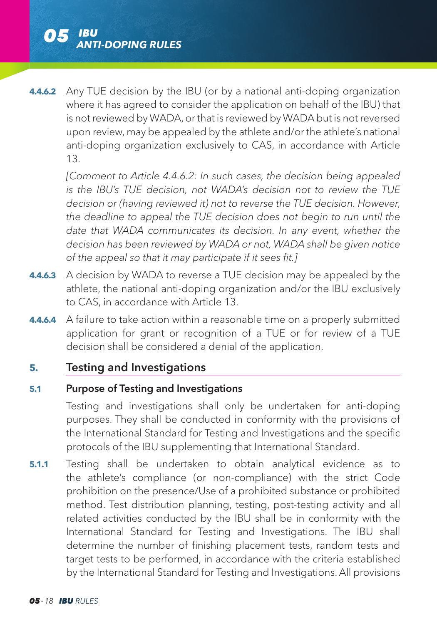

**4.4.6.2** Any TUE decision by the IBU (or by a national anti-doping organization where it has agreed to consider the application on behalf of the IBU) that is not reviewed by WADA, or that is reviewed by WADA but is not reversed upon review, may be appealed by the athlete and/or the athlete's national anti-doping organization exclusively to CAS, in accordance with Article 13.

*[Comment to Article 4.4.6.2: In such cases, the decision being appealed is the IBU's TUE decision, not WADA's decision not to review the TUE decision or (having reviewed it) not to reverse the TUE decision. However, the deadline to appeal the TUE decision does not begin to run until the date that WADA communicates its decision. In any event, whether the decision has been reviewed by WADA or not, WADA shall be given notice of the appeal so that it may participate if it sees fit.]*

- **4.4.6.3** A decision by WADA to reverse a TUE decision may be appealed by the athlete, the national anti-doping organization and/or the IBU exclusively to CAS, in accordance with Article 13.
- **4.4.6.4** A failure to take action within a reasonable time on a properly submitted application for grant or recognition of a TUE or for review of a TUE decision shall be considered a denial of the application.

## **5.** Testing and Investigations

### **5.1** Purpose of Testing and Investigations

 Testing and investigations shall only be undertaken for anti-doping purposes. They shall be conducted in conformity with the provisions of the International Standard for Testing and Investigations and the specific protocols of the IBU supplementing that International Standard.

**5.1.1** Testing shall be undertaken to obtain analytical evidence as to the athlete's compliance (or non-compliance) with the strict Code prohibition on the presence/Use of a prohibited substance or prohibited method. Test distribution planning, testing, post-testing activity and all related activities conducted by the IBU shall be in conformity with the International Standard for Testing and Investigations. The IBU shall determine the number of finishing placement tests, random tests and target tests to be performed, in accordance with the criteria established by the International Standard for Testing and Investigations. All provisions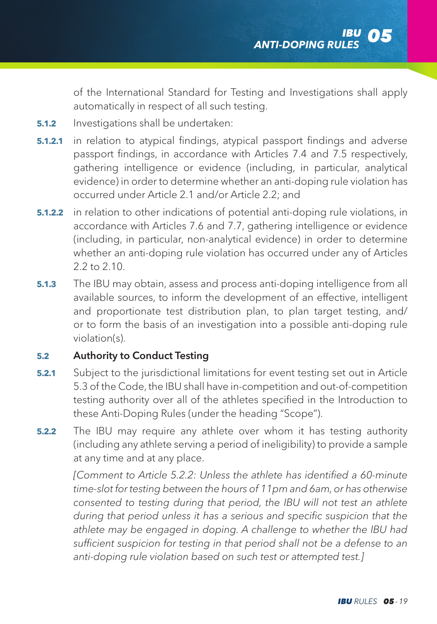of the International Standard for Testing and Investigations shall apply automatically in respect of all such testing.

- **5.1.2** Investigations shall be undertaken:
- **5.1.2.1** in relation to atypical findings, atypical passport findings and adverse passport findings, in accordance with Articles 7.4 and 7.5 respectively, gathering intelligence or evidence (including, in particular, analytical evidence) in order to determine whether an anti-doping rule violation has occurred under Article 2.1 and/or Article 2.2; and
- **5.1.2.2** in relation to other indications of potential anti-doping rule violations, in accordance with Articles 7.6 and 7.7, gathering intelligence or evidence (including, in particular, non-analytical evidence) in order to determine whether an anti-doping rule violation has occurred under any of Articles 2.2 to 2.10.
- **5.1.3** The IBU may obtain, assess and process anti-doping intelligence from all available sources, to inform the development of an effective, intelligent and proportionate test distribution plan, to plan target testing, and/ or to form the basis of an investigation into a possible anti-doping rule violation(s).

#### **5.2** Authority to Conduct Testing

- **5.2.1** Subject to the jurisdictional limitations for event testing set out in Article 5.3 of the Code, the IBU shall have in-competition and out-of-competition testing authority over all of the athletes specified in the Introduction to these Anti-Doping Rules (under the heading "Scope").
- **5.2.2** The IBU may require any athlete over whom it has testing authority (including any athlete serving a period of ineligibility) to provide a sample at any time and at any place.

*[Comment to Article 5.2.2: Unless the athlete has identified a 60-minute time-slot for testing between the hours of 11pm and 6am, or has otherwise consented to testing during that period, the IBU will not test an athlete during that period unless it has a serious and specific suspicion that the athlete may be engaged in doping. A challenge to whether the IBU had sufficient suspicion for testing in that period shall not be a defense to an anti-doping rule violation based on such test or attempted test.]*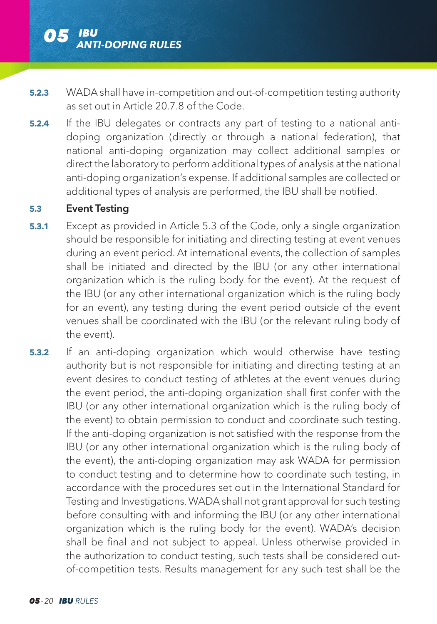

- **5.2.3** WADA shall have in-competition and out-of-competition testing authority as set out in Article 20.7.8 of the Code.
- **5.2.4** If the IBU delegates or contracts any part of testing to a national antidoping organization (directly or through a national federation), that national anti-doping organization may collect additional samples or direct the laboratory to perform additional types of analysis at the national anti-doping organization's expense. If additional samples are collected or additional types of analysis are performed, the IBU shall be notified.

## **5.3** Event Testing

- **5.3.1** Except as provided in Article 5.3 of the Code, only a single organization should be responsible for initiating and directing testing at event venues during an event period. At international events, the collection of samples shall be initiated and directed by the IBU (or any other international organization which is the ruling body for the event). At the request of the IBU (or any other international organization which is the ruling body for an event), any testing during the event period outside of the event venues shall be coordinated with the IBU (or the relevant ruling body of the event).
- **5.3.2** If an anti-doping organization which would otherwise have testing authority but is not responsible for initiating and directing testing at an event desires to conduct testing of athletes at the event venues during the event period, the anti-doping organization shall first confer with the IBU (or any other international organization which is the ruling body of the event) to obtain permission to conduct and coordinate such testing. If the anti-doping organization is not satisfied with the response from the IBU (or any other international organization which is the ruling body of the event), the anti-doping organization may ask WADA for permission to conduct testing and to determine how to coordinate such testing, in accordance with the procedures set out in the International Standard for Testing and Investigations. WADA shall not grant approval for such testing before consulting with and informing the IBU (or any other international organization which is the ruling body for the event). WADA's decision shall be final and not subject to appeal. Unless otherwise provided in the authorization to conduct testing, such tests shall be considered outof-competition tests. Results management for any such test shall be the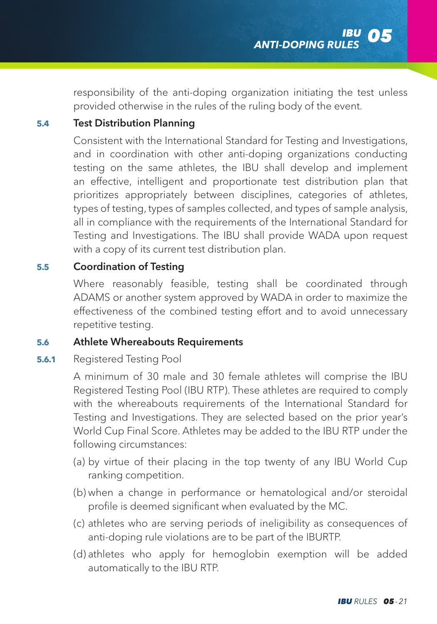responsibility of the anti-doping organization initiating the test unless provided otherwise in the rules of the ruling body of the event.

### **5.4** Test Distribution Planning

 Consistent with the International Standard for Testing and Investigations, and in coordination with other anti-doping organizations conducting testing on the same athletes, the IBU shall develop and implement an effective, intelligent and proportionate test distribution plan that prioritizes appropriately between disciplines, categories of athletes, types of testing, types of samples collected, and types of sample analysis, all in compliance with the requirements of the International Standard for Testing and Investigations. The IBU shall provide WADA upon request with a copy of its current test distribution plan.

### **5.5** Coordination of Testing

 Where reasonably feasible, testing shall be coordinated through ADAMS or another system approved by WADA in order to maximize the effectiveness of the combined testing effort and to avoid unnecessary repetitive testing.

# **5.6** Athlete Whereabouts Requirements

### **5.6.1** Registered Testing Pool

 A minimum of 30 male and 30 female athletes will comprise the IBU Registered Testing Pool (IBU RTP). These athletes are required to comply with the whereabouts requirements of the International Standard for Testing and Investigations. They are selected based on the prior year's World Cup Final Score. Athletes may be added to the IBU RTP under the following circumstances:

- (a) by virtue of their placing in the top twenty of any IBU World Cup ranking competition.
- (b) when a change in performance or hematological and/or steroidal profile is deemed significant when evaluated by the MC.
- (c) athletes who are serving periods of ineligibility as consequences of anti-doping rule violations are to be part of the IBURTP.
- (d) athletes who apply for hemoglobin exemption will be added automatically to the IBU RTP.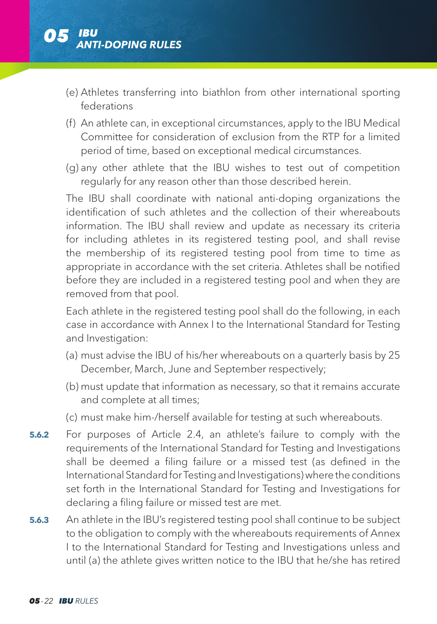- (e) Athletes transferring into biathlon from other international sporting federations
- (f) An athlete can, in exceptional circumstances, apply to the IBU Medical Committee for consideration of exclusion from the RTP for a limited period of time, based on exceptional medical circumstances.
- (g) any other athlete that the IBU wishes to test out of competition regularly for any reason other than those described herein.

 The IBU shall coordinate with national anti-doping organizations the identification of such athletes and the collection of their whereabouts information. The IBU shall review and update as necessary its criteria for including athletes in its registered testing pool, and shall revise the membership of its registered testing pool from time to time as appropriate in accordance with the set criteria. Athletes shall be notified before they are included in a registered testing pool and when they are removed from that pool.

 Each athlete in the registered testing pool shall do the following, in each case in accordance with Annex I to the International Standard for Testing and Investigation:

- (a) must advise the IBU of his/her whereabouts on a quarterly basis by 25 December, March, June and September respectively;
- (b) must update that information as necessary, so that it remains accurate and complete at all times;
- (c) must make him-/herself available for testing at such whereabouts.
- **5.6.2** For purposes of Article 2.4, an athlete's failure to comply with the requirements of the International Standard for Testing and Investigations shall be deemed a filing failure or a missed test (as defined in the International Standard for Testing and Investigations) where the conditions set forth in the International Standard for Testing and Investigations for declaring a filing failure or missed test are met.
- **5.6.3** An athlete in the IBU's registered testing pool shall continue to be subject to the obligation to comply with the whereabouts requirements of Annex I to the International Standard for Testing and Investigations unless and until (a) the athlete gives written notice to the IBU that he/she has retired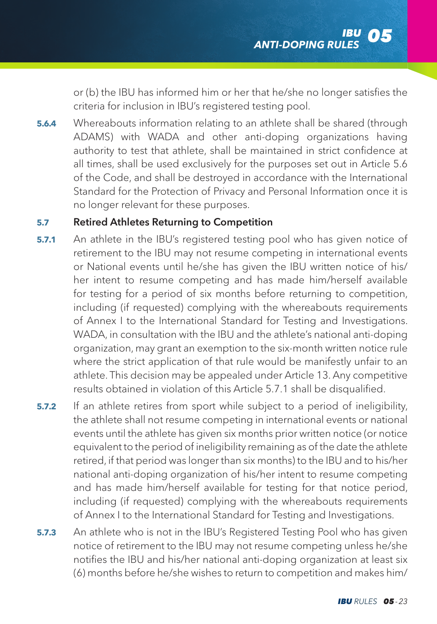or (b) the IBU has informed him or her that he/she no longer satisfies the criteria for inclusion in IBU's registered testing pool.

**5.6.4** Whereabouts information relating to an athlete shall be shared (through ADAMS) with WADA and other anti-doping organizations having authority to test that athlete, shall be maintained in strict confidence at all times, shall be used exclusively for the purposes set out in Article 5.6 of the Code, and shall be destroyed in accordance with the International Standard for the Protection of Privacy and Personal Information once it is no longer relevant for these purposes.

# **5.7** Retired Athletes Returning to Competition

- **5.7.1** An athlete in the IBU's registered testing pool who has given notice of retirement to the IBU may not resume competing in international events or National events until he/she has given the IBU written notice of his/ her intent to resume competing and has made him/herself available for testing for a period of six months before returning to competition, including (if requested) complying with the whereabouts requirements of Annex I to the International Standard for Testing and Investigations. WADA, in consultation with the IBU and the athlete's national anti-doping organization, may grant an exemption to the six-month written notice rule where the strict application of that rule would be manifestly unfair to an athlete. This decision may be appealed under Article 13. Any competitive results obtained in violation of this Article 5.7.1 shall be disqualified.
- **5.7.2** If an athlete retires from sport while subject to a period of ineligibility, the athlete shall not resume competing in international events or national events until the athlete has given six months prior written notice (or notice equivalent to the period of ineligibility remaining as of the date the athlete retired, if that period was longer than six months) to the IBU and to his/her national anti-doping organization of his/her intent to resume competing and has made him/herself available for testing for that notice period, including (if requested) complying with the whereabouts requirements of Annex I to the International Standard for Testing and Investigations.
- **5.7.3** An athlete who is not in the IBU's Registered Testing Pool who has given notice of retirement to the IBU may not resume competing unless he/she notifies the IBU and his/her national anti-doping organization at least six (6) months before he/she wishes to return to competition and makes him/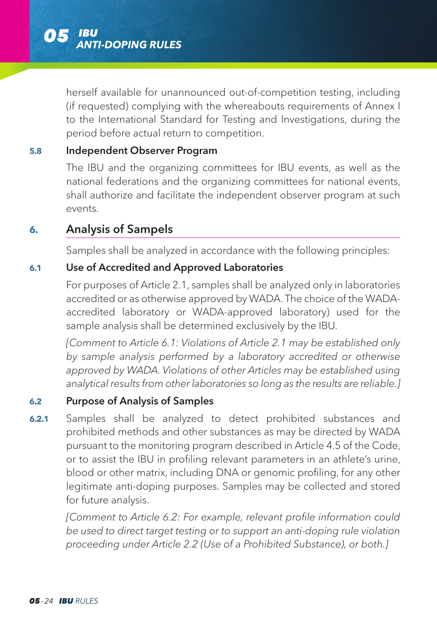

herself available for unannounced out-of-competition testing, including (if requested) complying with the whereabouts requirements of Annex I to the International Standard for Testing and Investigations, during the period before actual return to competition.

### **5.8** Independent Observer Program

 The IBU and the organizing committees for IBU events, as well as the national federations and the organizing committees for national events, shall authorize and facilitate the independent observer program at such events.

## **6.** Analysis of Sampels

Samples shall be analyzed in accordance with the following principles:

#### **6.1** Use of Accredited and Approved Laboratories

 For purposes of Article 2.1, samples shall be analyzed only in laboratories accredited or as otherwise approved by WADA. The choice of the WADAaccredited laboratory or WADA-approved laboratory) used for the sample analysis shall be determined exclusively by the IBU.

*[Comment to Article 6.1: Violations of Article 2.1 may be established only by sample analysis performed by a laboratory accredited or otherwise approved by WADA. Violations of other Articles may be established using analytical results from other laboratories so long as the results are reliable.]*

#### **6.2** Purpose of Analysis of Samples

**6.2.1** Samples shall be analyzed to detect prohibited substances and prohibited methods and other substances as may be directed by WADA pursuant to the monitoring program described in Article 4.5 of the Code, or to assist the IBU in profiling relevant parameters in an athlete's urine, blood or other matrix, including DNA or genomic profiling, for any other legitimate anti-doping purposes. Samples may be collected and stored for future analysis.

 *[Comment to Article 6.2: For example, relevant profile information could be used to direct target testing or to support an anti-doping rule violation proceeding under Article 2.2 (Use of a Prohibited Substance), or both.]*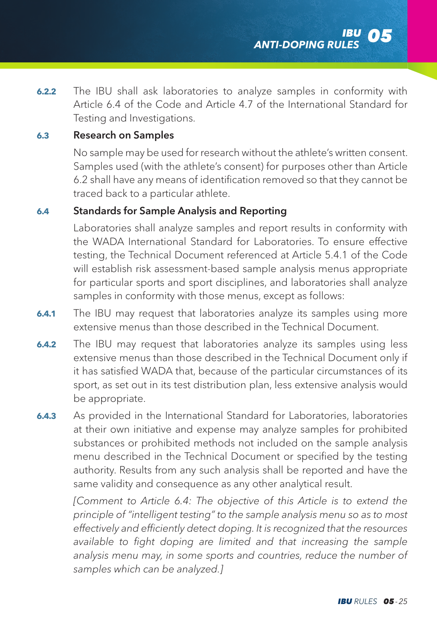**6.2.2** The IBU shall ask laboratories to analyze samples in conformity with Article 6.4 of the Code and Article 4.7 of the International Standard for Testing and Investigations.

# **6.3** Research on Samples

 No sample may be used for research without the athlete's written consent. Samples used (with the athlete's consent) for purposes other than Article 6.2 shall have any means of identification removed so that they cannot be traced back to a particular athlete.

#### **6.4** Standards for Sample Analysis and Reporting

 Laboratories shall analyze samples and report results in conformity with the WADA International Standard for Laboratories. To ensure effective testing, the Technical Document referenced at Article 5.4.1 of the Code will establish risk assessment-based sample analysis menus appropriate for particular sports and sport disciplines, and laboratories shall analyze samples in conformity with those menus, except as follows:

- **6.4.1** The IBU may request that laboratories analyze its samples using more extensive menus than those described in the Technical Document.
- **6.4.2** The IBU may request that laboratories analyze its samples using less extensive menus than those described in the Technical Document only if it has satisfied WADA that, because of the particular circumstances of its sport, as set out in its test distribution plan, less extensive analysis would be appropriate.
- **6.4.3** As provided in the International Standard for Laboratories, laboratories at their own initiative and expense may analyze samples for prohibited substances or prohibited methods not included on the sample analysis menu described in the Technical Document or specified by the testing authority. Results from any such analysis shall be reported and have the same validity and consequence as any other analytical result.

*[Comment to Article 6.4: The objective of this Article is to extend the principle of "intelligent testing" to the sample analysis menu so as to most effectively and efficiently detect doping. It is recognized that the resources available to fight doping are limited and that increasing the sample analysis menu may, in some sports and countries, reduce the number of samples which can be analyzed.]*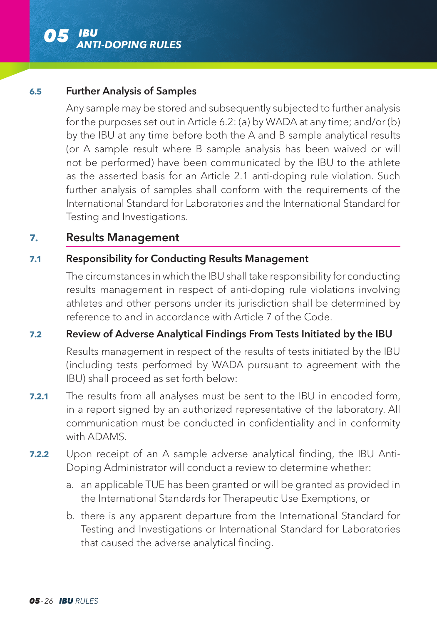

#### **6.5** Further Analysis of Samples

 Any sample may be stored and subsequently subjected to further analysis for the purposes set out in Article 6.2: (a) by WADA at any time; and/or (b) by the IBU at any time before both the A and B sample analytical results (or A sample result where B sample analysis has been waived or will not be performed) have been communicated by the IBU to the athlete as the asserted basis for an Article 2.1 anti-doping rule violation. Such further analysis of samples shall conform with the requirements of the International Standard for Laboratories and the International Standard for Testing and Investigations.

### **7.** Results Management

### **7.1** Responsibility for Conducting Results Management

 The circumstances in which the IBU shall take responsibility for conducting results management in respect of anti-doping rule violations involving athletes and other persons under its jurisdiction shall be determined by reference to and in accordance with Article 7 of the Code.

### **7.2** Review of Adverse Analytical Findings From Tests Initiated by the IBU

 Results management in respect of the results of tests initiated by the IBU (including tests performed by WADA pursuant to agreement with the IBU) shall proceed as set forth below:

- **7.2.1** The results from all analyses must be sent to the IBU in encoded form, in a report signed by an authorized representative of the laboratory. All communication must be conducted in confidentiality and in conformity with ADAMS.
- **7.2.2** Upon receipt of an A sample adverse analytical finding, the IBU Anti-Doping Administrator will conduct a review to determine whether:
	- a. an applicable TUE has been granted or will be granted as provided in the International Standards for Therapeutic Use Exemptions, or
	- b. there is any apparent departure from the International Standard for Testing and Investigations or International Standard for Laboratories that caused the adverse analytical finding.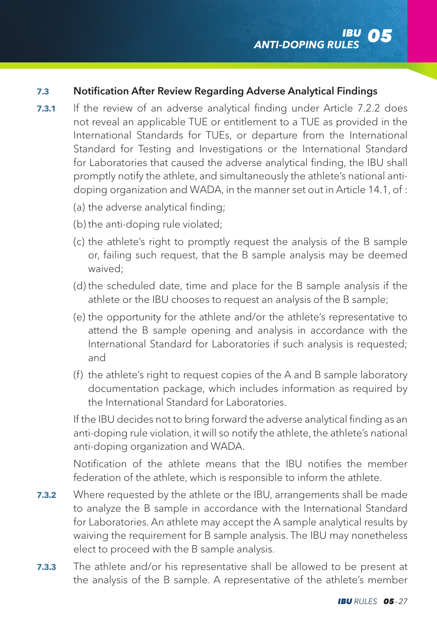### **7.3** Notification After Review Regarding Adverse Analytical Findings

- **7.3.1** If the review of an adverse analytical finding under Article 7.2.2 does not reveal an applicable TUE or entitlement to a TUE as provided in the International Standards for TUEs, or departure from the International Standard for Testing and Investigations or the International Standard for Laboratories that caused the adverse analytical finding, the IBU shall promptly notify the athlete, and simultaneously the athlete's national antidoping organization and WADA, in the manner set out in Article 14.1, of :
	- (a) the adverse analytical finding;
	- (b) the anti-doping rule violated;
	- (c) the athlete's right to promptly request the analysis of the B sample or, failing such request, that the B sample analysis may be deemed waived;
	- (d) the scheduled date, time and place for the B sample analysis if the athlete or the IBU chooses to request an analysis of the B sample;
	- (e) the opportunity for the athlete and/or the athlete's representative to attend the B sample opening and analysis in accordance with the International Standard for Laboratories if such analysis is requested; and
	- (f) the athlete's right to request copies of the A and B sample laboratory documentation package, which includes information as required by the International Standard for Laboratories.

 If the IBU decides not to bring forward the adverse analytical finding as an anti-doping rule violation, it will so notify the athlete, the athlete's national anti-doping organization and WADA.

 Notification of the athlete means that the IBU notifies the member federation of the athlete, which is responsible to inform the athlete.

- **7.3.2** Where requested by the athlete or the IBU, arrangements shall be made to analyze the B sample in accordance with the International Standard for Laboratories. An athlete may accept the A sample analytical results by waiving the requirement for B sample analysis. The IBU may nonetheless elect to proceed with the B sample analysis.
- **7.3.3** The athlete and/or his representative shall be allowed to be present at the analysis of the B sample. A representative of the athlete's member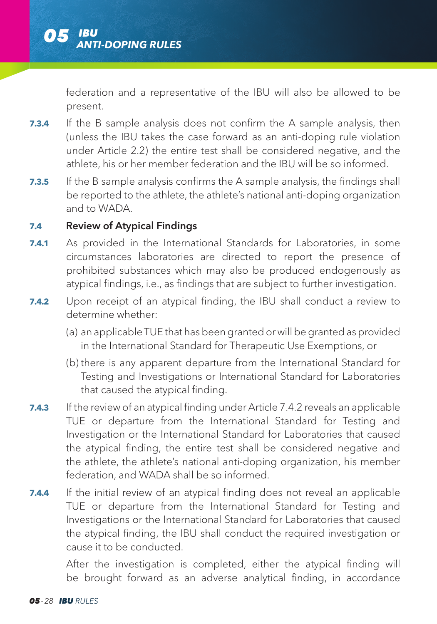federation and a representative of the IBU will also be allowed to be present.

- **7.3.4** If the B sample analysis does not confirm the A sample analysis, then (unless the IBU takes the case forward as an anti-doping rule violation under Article 2.2) the entire test shall be considered negative, and the athlete, his or her member federation and the IBU will be so informed.
- **7.3.5** If the B sample analysis confirms the A sample analysis, the findings shall be reported to the athlete, the athlete's national anti-doping organization and to WADA.

# **7.4** Review of Atypical Findings

- **7.4.1** As provided in the International Standards for Laboratories, in some circumstances laboratories are directed to report the presence of prohibited substances which may also be produced endogenously as atypical findings, i.e., as findings that are subject to further investigation.
- **7.4.2** Upon receipt of an atypical finding, the IBU shall conduct a review to determine whether:
	- (a) an applicable TUE that has been granted or will be granted as provided in the International Standard for Therapeutic Use Exemptions, or
	- (b) there is any apparent departure from the International Standard for Testing and Investigations or International Standard for Laboratories that caused the atypical finding.
- **7.4.3** If the review of an atypical finding under Article 7.4.2 reveals an applicable TUE or departure from the International Standard for Testing and Investigation or the International Standard for Laboratories that caused the atypical finding, the entire test shall be considered negative and the athlete, the athlete's national anti-doping organization, his member federation, and WADA shall be so informed.
- **7.4.4** If the initial review of an atypical finding does not reveal an applicable TUE or departure from the International Standard for Testing and Investigations or the International Standard for Laboratories that caused the atypical finding, the IBU shall conduct the required investigation or cause it to be conducted.

 After the investigation is completed, either the atypical finding will be brought forward as an adverse analytical finding, in accordance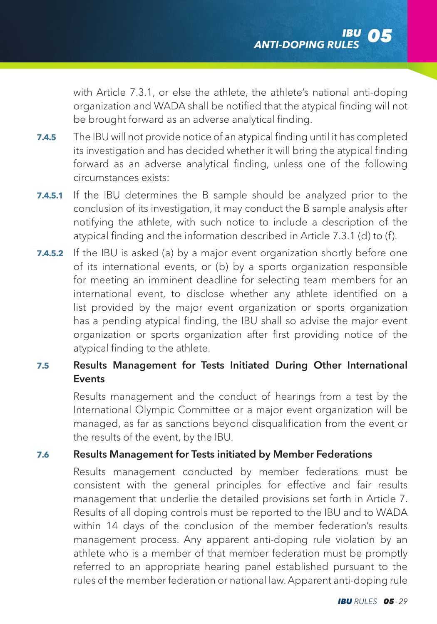with Article 7.3.1, or else the athlete, the athlete's national anti-doping organization and WADA shall be notified that the atypical finding will not be brought forward as an adverse analytical finding.

- **7.4.5** The IBU will not provide notice of an atypical finding until it has completed its investigation and has decided whether it will bring the atypical finding forward as an adverse analytical finding, unless one of the following circumstances exists:
- **7.4.5.1** If the IBU determines the B sample should be analyzed prior to the conclusion of its investigation, it may conduct the B sample analysis after notifying the athlete, with such notice to include a description of the atypical finding and the information described in Article 7.3.1 (d) to (f).
- **7.4.5.2** If the IBU is asked (a) by a major event organization shortly before one of its international events, or (b) by a sports organization responsible for meeting an imminent deadline for selecting team members for an international event, to disclose whether any athlete identified on a list provided by the major event organization or sports organization has a pending atypical finding, the IBU shall so advise the major event organization or sports organization after first providing notice of the atypical finding to the athlete.

### **7.5** Results Management for Tests Initiated During Other International **Events**

 Results management and the conduct of hearings from a test by the International Olympic Committee or a major event organization will be managed, as far as sanctions beyond disqualification from the event or the results of the event, by the IBU.

### **7.6** Results Management for Tests initiated by Member Federations

 Results management conducted by member federations must be consistent with the general principles for effective and fair results management that underlie the detailed provisions set forth in Article 7. Results of all doping controls must be reported to the IBU and to WADA within 14 days of the conclusion of the member federation's results management process. Any apparent anti-doping rule violation by an athlete who is a member of that member federation must be promptly referred to an appropriate hearing panel established pursuant to the rules of the member federation or national law. Apparent anti-doping rule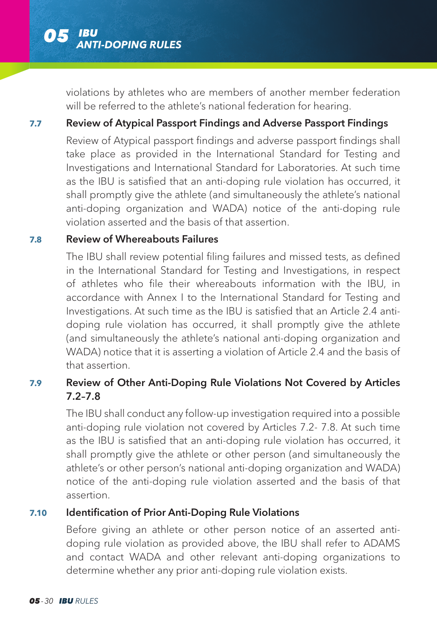

violations by athletes who are members of another member federation will be referred to the athlete's national federation for hearing.

#### **7.7** Review of Atypical Passport Findings and Adverse Passport Findings

 Review of Atypical passport findings and adverse passport findings shall take place as provided in the International Standard for Testing and Investigations and International Standard for Laboratories. At such time as the IBU is satisfied that an anti-doping rule violation has occurred, it shall promptly give the athlete (and simultaneously the athlete's national anti-doping organization and WADA) notice of the anti-doping rule violation asserted and the basis of that assertion.

### **7.8** Review of Whereabouts Failures

 The IBU shall review potential filing failures and missed tests, as defined in the International Standard for Testing and Investigations, in respect of athletes who file their whereabouts information with the IBU, in accordance with Annex I to the International Standard for Testing and Investigations. At such time as the IBU is satisfied that an Article 2.4 antidoping rule violation has occurred, it shall promptly give the athlete (and simultaneously the athlete's national anti-doping organization and WADA) notice that it is asserting a violation of Article 2.4 and the basis of that assertion.

## **7.9** Review of Other Anti-Doping Rule Violations Not Covered by Articles 7.2–7.8

 The IBU shall conduct any follow-up investigation required into a possible anti-doping rule violation not covered by Articles 7.2- 7.8. At such time as the IBU is satisfied that an anti-doping rule violation has occurred, it shall promptly give the athlete or other person (and simultaneously the athlete's or other person's national anti-doping organization and WADA) notice of the anti-doping rule violation asserted and the basis of that assertion.

### **7.10** Identification of Prior Anti-Doping Rule Violations

 Before giving an athlete or other person notice of an asserted antidoping rule violation as provided above, the IBU shall refer to ADAMS and contact WADA and other relevant anti-doping organizations to determine whether any prior anti-doping rule violation exists.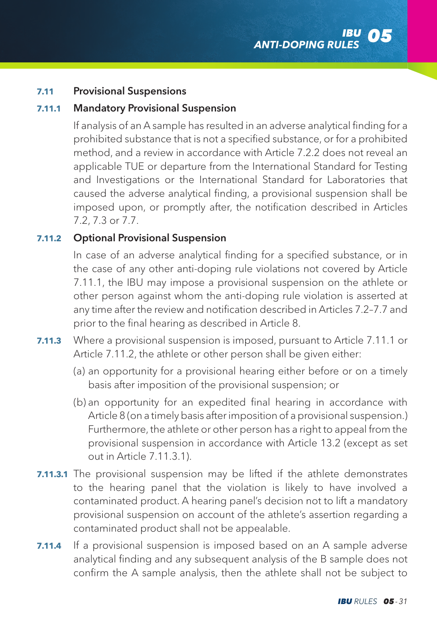### **7.11** Provisional Suspensions

#### **7.11.1** Mandatory Provisional Suspension

 If analysis of an A sample has resulted in an adverse analytical finding for a prohibited substance that is not a specified substance, or for a prohibited method, and a review in accordance with Article 7.2.2 does not reveal an applicable TUE or departure from the International Standard for Testing and Investigations or the International Standard for Laboratories that caused the adverse analytical finding, a provisional suspension shall be imposed upon, or promptly after, the notification described in Articles 7.2, 7.3 or 7.7.

### **7.11.2** Optional Provisional Suspension

 In case of an adverse analytical finding for a specified substance, or in the case of any other anti-doping rule violations not covered by Article 7.11.1, the IBU may impose a provisional suspension on the athlete or other person against whom the anti-doping rule violation is asserted at any time after the review and notification described in Articles 7.2–7.7 and prior to the final hearing as described in Article 8.

- **7.11.3** Where a provisional suspension is imposed, pursuant to Article 7.11.1 or Article 7.11.2, the athlete or other person shall be given either:
	- (a) an opportunity for a provisional hearing either before or on a timely basis after imposition of the provisional suspension; or
	- (b) an opportunity for an expedited final hearing in accordance with Article 8 (on a timely basis after imposition of a provisional suspension.) Furthermore, the athlete or other person has a right to appeal from the provisional suspension in accordance with Article 13.2 (except as set out in Article 7.11.3.1).
- **7.11.3.1** The provisional suspension may be lifted if the athlete demonstrates to the hearing panel that the violation is likely to have involved a contaminated product. A hearing panel's decision not to lift a mandatory provisional suspension on account of the athlete's assertion regarding a contaminated product shall not be appealable.
- **7.11.4** If a provisional suspension is imposed based on an A sample adverse analytical finding and any subsequent analysis of the B sample does not confirm the A sample analysis, then the athlete shall not be subject to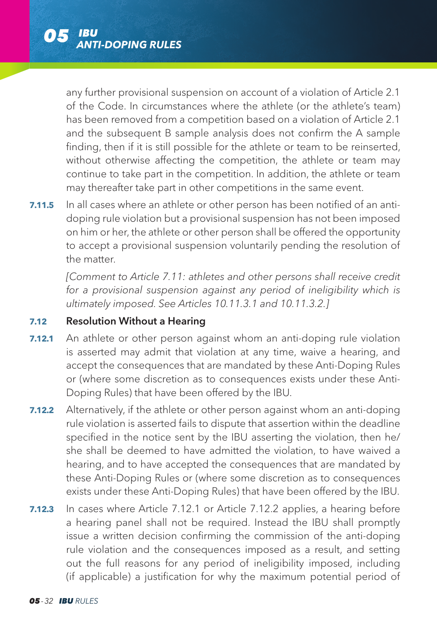

any further provisional suspension on account of a violation of Article 2.1 of the Code. In circumstances where the athlete (or the athlete's team) has been removed from a competition based on a violation of Article 2.1 and the subsequent B sample analysis does not confirm the A sample finding, then if it is still possible for the athlete or team to be reinserted, without otherwise affecting the competition, the athlete or team may continue to take part in the competition. In addition, the athlete or team may thereafter take part in other competitions in the same event.

**7.11.5** In all cases where an athlete or other person has been notified of an antidoping rule violation but a provisional suspension has not been imposed on him or her, the athlete or other person shall be offered the opportunity to accept a provisional suspension voluntarily pending the resolution of the matter.

*[Comment to Article 7.11: athletes and other persons shall receive credit for a provisional suspension against any period of ineligibility which is ultimately imposed. See Articles 10.11.3.1 and 10.11.3.2.]* 

#### **7.12** Resolution Without a Hearing

- **7.12.1** An athlete or other person against whom an anti-doping rule violation is asserted may admit that violation at any time, waive a hearing, and accept the consequences that are mandated by these Anti-Doping Rules or (where some discretion as to consequences exists under these Anti-Doping Rules) that have been offered by the IBU.
- **7.12.2** Alternatively, if the athlete or other person against whom an anti-doping rule violation is asserted fails to dispute that assertion within the deadline specified in the notice sent by the IBU asserting the violation, then he/ she shall be deemed to have admitted the violation, to have waived a hearing, and to have accepted the consequences that are mandated by these Anti-Doping Rules or (where some discretion as to consequences exists under these Anti-Doping Rules) that have been offered by the IBU.
- **7.12.3** In cases where Article 7.12.1 or Article 7.12.2 applies, a hearing before a hearing panel shall not be required. Instead the IBU shall promptly issue a written decision confirming the commission of the anti-doping rule violation and the consequences imposed as a result, and setting out the full reasons for any period of ineligibility imposed, including (if applicable) a justification for why the maximum potential period of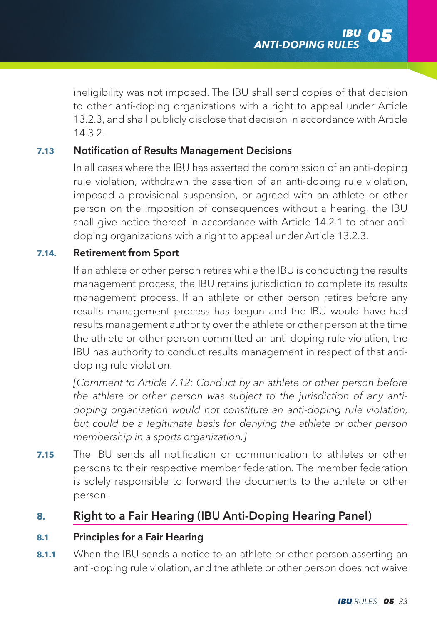ineligibility was not imposed. The IBU shall send copies of that decision to other anti-doping organizations with a right to appeal under Article 13.2.3, and shall publicly disclose that decision in accordance with Article 14.3.2.

### **7.13** Notification of Results Management Decisions

 In all cases where the IBU has asserted the commission of an anti-doping rule violation, withdrawn the assertion of an anti-doping rule violation, imposed a provisional suspension, or agreed with an athlete or other person on the imposition of consequences without a hearing, the IBU shall give notice thereof in accordance with Article 14.2.1 to other antidoping organizations with a right to appeal under Article 13.2.3.

### **7.14.** Retirement from Sport

 If an athlete or other person retires while the IBU is conducting the results management process, the IBU retains jurisdiction to complete its results management process. If an athlete or other person retires before any results management process has begun and the IBU would have had results management authority over the athlete or other person at the time the athlete or other person committed an anti-doping rule violation, the IBU has authority to conduct results management in respect of that antidoping rule violation.

*[Comment to Article 7.12: Conduct by an athlete or other person before the athlete or other person was subject to the jurisdiction of any antidoping organization would not constitute an anti-doping rule violation, but could be a legitimate basis for denying the athlete or other person membership in a sports organization.]* 

**7.15** The IBU sends all notification or communication to athletes or other persons to their respective member federation. The member federation is solely responsible to forward the documents to the athlete or other person.

# **8.** Right to a Fair Hearing (IBU Anti-Doping Hearing Panel)

#### **8.1** Principles for a Fair Hearing

**8.1.1** When the IBU sends a notice to an athlete or other person asserting an anti-doping rule violation, and the athlete or other person does not waive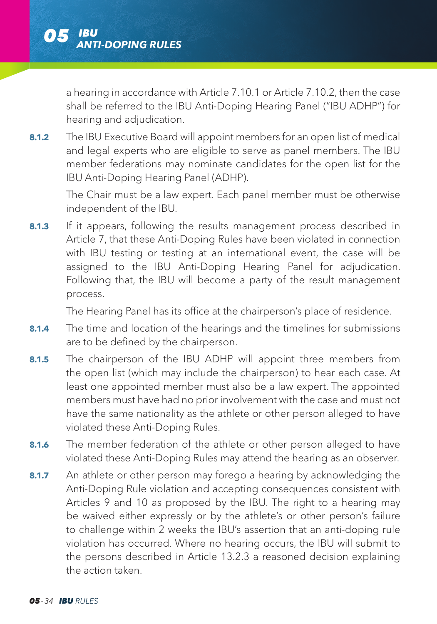a hearing in accordance with Article 7.10.1 or Article 7.10.2, then the case shall be referred to the IBU Anti-Doping Hearing Panel ("IBU ADHP") for hearing and adjudication.

**8.1.2** The IBU Executive Board will appoint members for an open list of medical and legal experts who are eligible to serve as panel members. The IBU member federations may nominate candidates for the open list for the IBU Anti-Doping Hearing Panel (ADHP).

 The Chair must be a law expert. Each panel member must be otherwise independent of the IBU.

**8.1.3** If it appears, following the results management process described in Article 7, that these Anti-Doping Rules have been violated in connection with IBU testing or testing at an international event, the case will be assigned to the IBU Anti-Doping Hearing Panel for adjudication. Following that, the IBU will become a party of the result management process.

The Hearing Panel has its office at the chairperson's place of residence.

- **8.1.4** The time and location of the hearings and the timelines for submissions are to be defined by the chairperson.
- 8.1.5 The chairperson of the IBU ADHP will appoint three members from the open list (which may include the chairperson) to hear each case. At least one appointed member must also be a law expert. The appointed members must have had no prior involvement with the case and must not have the same nationality as the athlete or other person alleged to have violated these Anti-Doping Rules.
- **8.1.6** The member federation of the athlete or other person alleged to have violated these Anti-Doping Rules may attend the hearing as an observer.
- **8.1.7** An athlete or other person may forego a hearing by acknowledging the Anti-Doping Rule violation and accepting consequences consistent with Articles 9 and 10 as proposed by the IBU. The right to a hearing may be waived either expressly or by the athlete's or other person's failure to challenge within 2 weeks the IBU's assertion that an anti-doping rule violation has occurred. Where no hearing occurs, the IBU will submit to the persons described in Article 13.2.3 a reasoned decision explaining the action taken.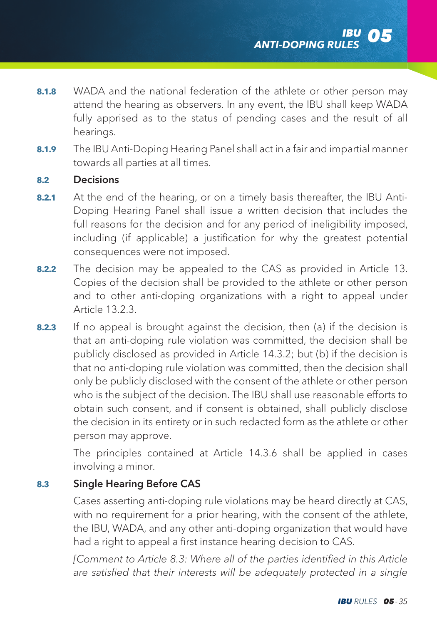- **8.1.8** WADA and the national federation of the athlete or other person may attend the hearing as observers. In any event, the IBU shall keep WADA fully apprised as to the status of pending cases and the result of all hearings.
- **8.1.9** The IBU Anti-Doping Hearing Panel shall act in a fair and impartial manner towards all parties at all times.

#### **8.2** Decisions

- **8.2.1** At the end of the hearing, or on a timely basis thereafter, the IBU Anti-Doping Hearing Panel shall issue a written decision that includes the full reasons for the decision and for any period of ineligibility imposed, including (if applicable) a justification for why the greatest potential consequences were not imposed.
- **8.2.2** The decision may be appealed to the CAS as provided in Article 13. Copies of the decision shall be provided to the athlete or other person and to other anti-doping organizations with a right to appeal under Article 13.2.3.
- **8.2.3** If no appeal is brought against the decision, then (a) if the decision is that an anti-doping rule violation was committed, the decision shall be publicly disclosed as provided in Article 14.3.2; but (b) if the decision is that no anti-doping rule violation was committed, then the decision shall only be publicly disclosed with the consent of the athlete or other person who is the subject of the decision. The IBU shall use reasonable efforts to obtain such consent, and if consent is obtained, shall publicly disclose the decision in its entirety or in such redacted form as the athlete or other person may approve.

 The principles contained at Article 14.3.6 shall be applied in cases involving a minor.

# **8.3** Single Hearing Before CAS

 Cases asserting anti-doping rule violations may be heard directly at CAS, with no requirement for a prior hearing, with the consent of the athlete, the IBU, WADA, and any other anti-doping organization that would have had a right to appeal a first instance hearing decision to CAS.

[Comment to Article 8.3: Where all of the parties identified in this Article *are satisfied that their interests will be adequately protected in a single*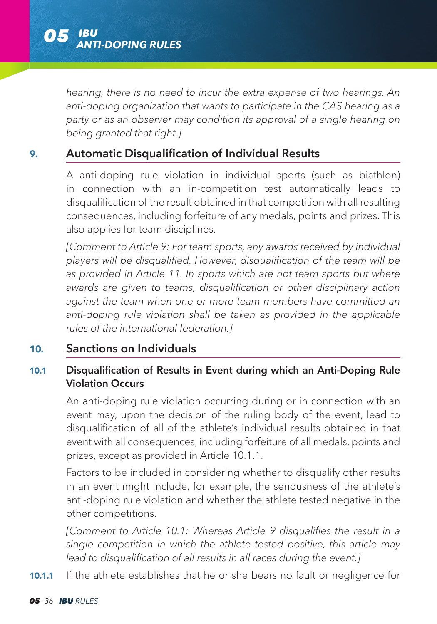

*hearing, there is no need to incur the extra expense of two hearings. An anti-doping organization that wants to participate in the CAS hearing as a party or as an observer may condition its approval of a single hearing on being granted that right.]*

### **9.** Automatic Disqualification of Individual Results

 A anti-doping rule violation in individual sports (such as biathlon) in connection with an in-competition test automatically leads to disqualification of the result obtained in that competition with all resulting consequences, including forfeiture of any medals, points and prizes. This also applies for team disciplines.

 *[Comment to Article 9: For team sports, any awards received by individual players will be disqualified. However, disqualification of the team will be*  as provided in Article 11. In sports which are not team sports but where *awards are given to teams, disqualification or other disciplinary action against the team when one or more team members have committed an anti-doping rule violation shall be taken as provided in the applicable rules of the international federation.]*

## **10.** Sanctions on Individuals

# **10.1** Disqualification of Results in Event during which an Anti-Doping Rule Violation Occurs

 An anti-doping rule violation occurring during or in connection with an event may, upon the decision of the ruling body of the event, lead to disqualification of all of the athlete's individual results obtained in that event with all consequences, including forfeiture of all medals, points and prizes, except as provided in Article 10.1.1.

 Factors to be included in considering whether to disqualify other results in an event might include, for example, the seriousness of the athlete's anti-doping rule violation and whether the athlete tested negative in the other competitions.

 *[Comment to Article 10.1: Whereas Article 9 disqualifies the result in a single competition in which the athlete tested positive, this article may lead to disqualification of all results in all races during the event.]*

**10.1.1** If the athlete establishes that he or she bears no fault or negligence for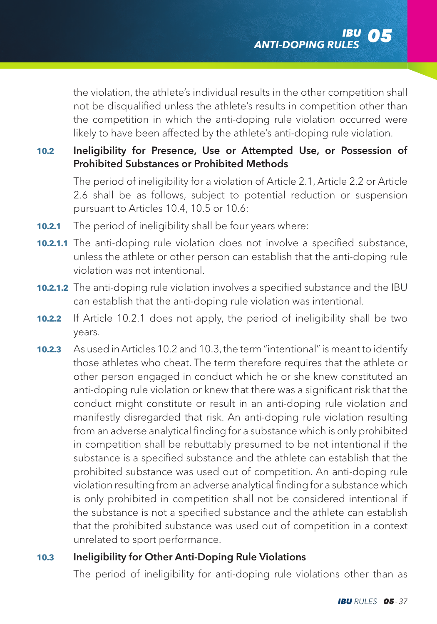the violation, the athlete's individual results in the other competition shall not be disqualified unless the athlete's results in competition other than the competition in which the anti-doping rule violation occurred were likely to have been affected by the athlete's anti-doping rule violation.

### **10.2** Ineligibility for Presence, Use or Attempted Use, or Possession of Prohibited Substances or Prohibited Methods

 The period of ineligibility for a violation of Article 2.1, Article 2.2 or Article 2.6 shall be as follows, subject to potential reduction or suspension pursuant to Articles 10.4, 10.5 or 10.6:

- **10.2.1** The period of ineligibility shall be four years where:
- **10.2.1.1** The anti-doping rule violation does not involve a specified substance, unless the athlete or other person can establish that the anti-doping rule violation was not intentional.
- **10.2.1.2** The anti-doping rule violation involves a specified substance and the IBU can establish that the anti-doping rule violation was intentional.
- **10.2.2** If Article 10.2.1 does not apply, the period of ineligibility shall be two years.
- **10.2.3** As used in Articles 10.2 and 10.3, the term "intentional" is meant to identify those athletes who cheat. The term therefore requires that the athlete or other person engaged in conduct which he or she knew constituted an anti-doping rule violation or knew that there was a significant risk that the conduct might constitute or result in an anti-doping rule violation and manifestly disregarded that risk. An anti-doping rule violation resulting from an adverse analytical finding for a substance which is only prohibited in competition shall be rebuttably presumed to be not intentional if the substance is a specified substance and the athlete can establish that the prohibited substance was used out of competition. An anti-doping rule violation resulting from an adverse analytical finding for a substance which is only prohibited in competition shall not be considered intentional if the substance is not a specified substance and the athlete can establish that the prohibited substance was used out of competition in a context unrelated to sport performance.

# **10.3** Ineligibility for Other Anti-Doping Rule Violations

The period of ineligibility for anti-doping rule violations other than as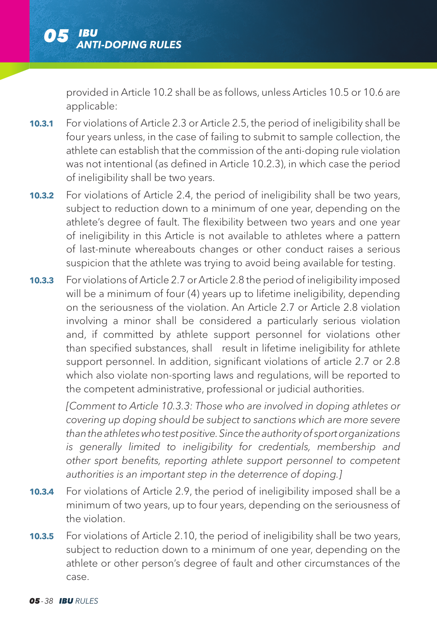provided in Article 10.2 shall be as follows, unless Articles 10.5 or 10.6 are applicable:

- **10.3.1** For violations of Article 2.3 or Article 2.5, the period of ineligibility shall be four years unless, in the case of failing to submit to sample collection, the athlete can establish that the commission of the anti-doping rule violation was not intentional (as defined in Article 10.2.3), in which case the period of ineligibility shall be two years.
- **10.3.2** For violations of Article 2.4, the period of ineligibility shall be two years, subject to reduction down to a minimum of one year, depending on the athlete's degree of fault. The flexibility between two years and one year of ineligibility in this Article is not available to athletes where a pattern of last-minute whereabouts changes or other conduct raises a serious suspicion that the athlete was trying to avoid being available for testing.
- **10.3.3** For violations of Article 2.7 or Article 2.8 the period of ineligibility imposed will be a minimum of four (4) years up to lifetime ineligibility, depending on the seriousness of the violation. An Article 2.7 or Article 2.8 violation involving a minor shall be considered a particularly serious violation and, if committed by athlete support personnel for violations other than specified substances, shall result in lifetime ineligibility for athlete support personnel. In addition, significant violations of article 2.7 or 2.8 which also violate non-sporting laws and regulations, will be reported to the competent administrative, professional or judicial authorities.

*[Comment to Article 10.3.3: Those who are involved in doping athletes or covering up doping should be subject to sanctions which are more severe than the athletes who test positive. Since the authority of sport organizations is generally limited to ineligibility for credentials, membership and other sport benefits, reporting athlete support personnel to competent authorities is an important step in the deterrence of doping.]*

- **10.3.4** For violations of Article 2.9, the period of ineligibility imposed shall be a minimum of two years, up to four years, depending on the seriousness of the violation.
- **10.3.5** For violations of Article 2.10, the period of ineligibility shall be two years, subject to reduction down to a minimum of one year, depending on the athlete or other person's degree of fault and other circumstances of the case.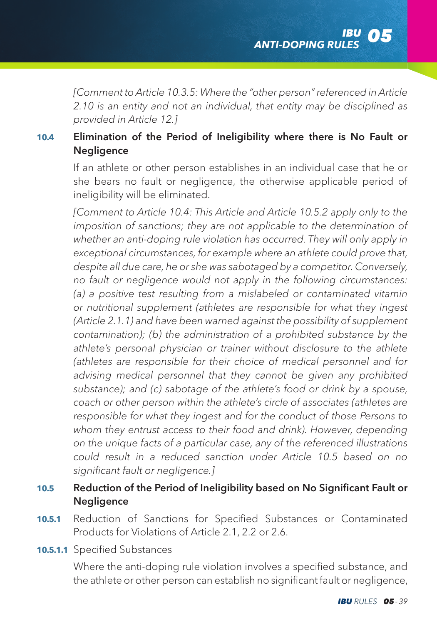*[Comment to Article 10.3.5: Where the "other person" referenced in Article 2.10 is an entity and not an individual, that entity may be disciplined as provided in Article 12.]*

### **10.4** Elimination of the Period of Ineligibility where there is No Fault or Negligence

 If an athlete or other person establishes in an individual case that he or she bears no fault or negligence, the otherwise applicable period of ineligibility will be eliminated.

*[Comment to Article 10.4: This Article and Article 10.5.2 apply only to the imposition of sanctions; they are not applicable to the determination of whether an anti-doping rule violation has occurred. They will only apply in exceptional circumstances, for example where an athlete could prove that, despite all due care, he or she was sabotaged by a competitor. Conversely, no fault or negligence would not apply in the following circumstances: (a) a positive test resulting from a mislabeled or contaminated vitamin or nutritional supplement (athletes are responsible for what they ingest (Article 2.1.1) and have been warned against the possibility of supplement contamination); (b) the administration of a prohibited substance by the athlete's personal physician or trainer without disclosure to the athlete (athletes are responsible for their choice of medical personnel and for advising medical personnel that they cannot be given any prohibited substance); and (c) sabotage of the athlete's food or drink by a spouse, coach or other person within the athlete's circle of associates (athletes are responsible for what they ingest and for the conduct of those Persons to whom they entrust access to their food and drink). However, depending on the unique facts of a particular case, any of the referenced illustrations could result in a reduced sanction under Article 10.5 based on no significant fault or negligence.]*

### **10.5** Reduction of the Period of Ineligibility based on No Significant Fault or **Negligence**

- **10.5.1** Reduction of Sanctions for Specified Substances or Contaminated Products for Violations of Article 2.1, 2.2 or 2.6.
- **10.5.1.1** Specified Substances

 Where the anti-doping rule violation involves a specified substance, and the athlete or other person can establish no significant fault or negligence,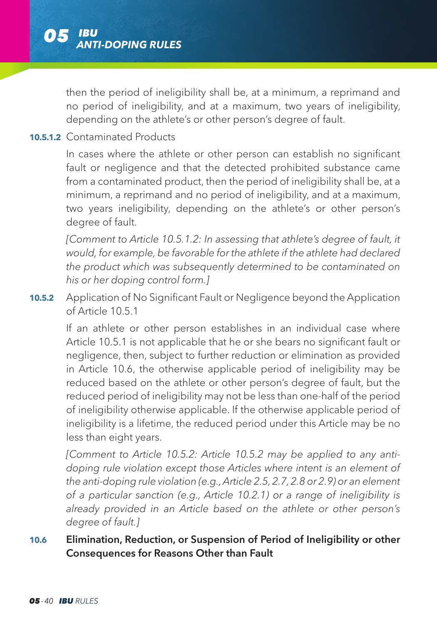then the period of ineligibility shall be, at a minimum, a reprimand and no period of ineligibility, and at a maximum, two years of ineligibility, depending on the athlete's or other person's degree of fault.

### **10.5.1.2** Contaminated Products

 In cases where the athlete or other person can establish no significant fault or negligence and that the detected prohibited substance came from a contaminated product, then the period of ineligibility shall be, at a minimum, a reprimand and no period of ineligibility, and at a maximum, two years ineligibility, depending on the athlete's or other person's degree of fault.

*[Comment to Article 10.5.1.2: In assessing that athlete's degree of fault, it would, for example, be favorable for the athlete if the athlete had declared the product which was subsequently determined to be contaminated on his or her doping control form.]*

**10.5.2** Application of No Significant Fault or Negligence beyond the Application of Article 10.5.1

 If an athlete or other person establishes in an individual case where Article 10.5.1 is not applicable that he or she bears no significant fault or negligence, then, subject to further reduction or elimination as provided in Article 10.6, the otherwise applicable period of ineligibility may be reduced based on the athlete or other person's degree of fault, but the reduced period of ineligibility may not be less than one-half of the period of ineligibility otherwise applicable. If the otherwise applicable period of ineligibility is a lifetime, the reduced period under this Article may be no less than eight years.

*[Comment to Article 10.5.2: Article 10.5.2 may be applied to any antidoping rule violation except those Articles where intent is an element of the anti-doping rule violation (e.g., Article 2.5, 2.7, 2.8 or 2.9) or an element of a particular sanction (e.g., Article 10.2.1) or a range of ineligibility is already provided in an Article based on the athlete or other person's degree of fault.]*

### **10.6** Elimination, Reduction, or Suspension of Period of Ineligibility or other Consequences for Reasons Other than Fault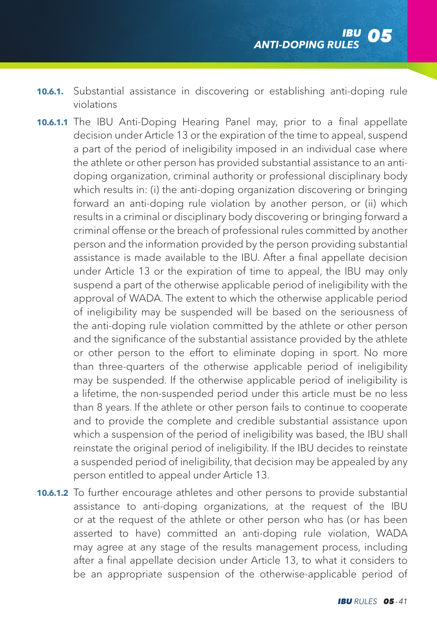- **10.6.1.** Substantial assistance in discovering or establishing anti-doping rule violations
- **10.6.1.1** The IBU Anti-Doping Hearing Panel may, prior to a final appellate decision under Article 13 or the expiration of the time to appeal, suspend a part of the period of ineligibility imposed in an individual case where the athlete or other person has provided substantial assistance to an antidoping organization, criminal authority or professional disciplinary body which results in: (i) the anti-doping organization discovering or bringing forward an anti-doping rule violation by another person, or (ii) which results in a criminal or disciplinary body discovering or bringing forward a criminal offense or the breach of professional rules committed by another person and the information provided by the person providing substantial assistance is made available to the IBU. After a final appellate decision under Article 13 or the expiration of time to appeal, the IBU may only suspend a part of the otherwise applicable period of ineligibility with the approval of WADA. The extent to which the otherwise applicable period of ineligibility may be suspended will be based on the seriousness of the anti-doping rule violation committed by the athlete or other person and the significance of the substantial assistance provided by the athlete or other person to the effort to eliminate doping in sport. No more than three-quarters of the otherwise applicable period of ineligibility may be suspended. If the otherwise applicable period of ineligibility is a lifetime, the non-suspended period under this article must be no less than 8 years. If the athlete or other person fails to continue to cooperate and to provide the complete and credible substantial assistance upon which a suspension of the period of ineligibility was based, the IBU shall reinstate the original period of ineligibility. If the IBU decides to reinstate a suspended period of ineligibility, that decision may be appealed by any person entitled to appeal under Article 13.
- **10.6.1.2** To further encourage athletes and other persons to provide substantial assistance to anti-doping organizations, at the request of the IBU or at the request of the athlete or other person who has (or has been asserted to have) committed an anti-doping rule violation, WADA may agree at any stage of the results management process, including after a final appellate decision under Article 13, to what it considers to be an appropriate suspension of the otherwise-applicable period of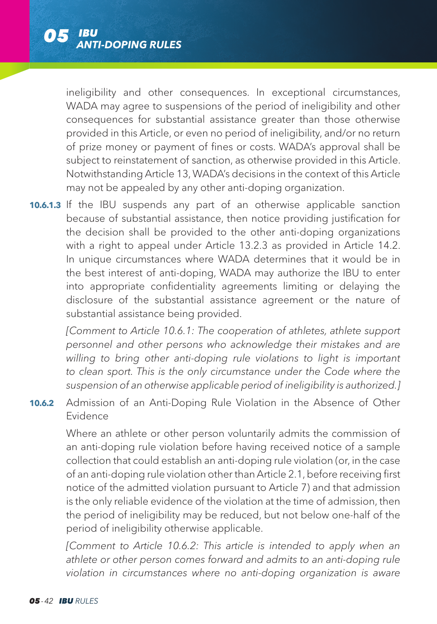

ineligibility and other consequences. In exceptional circumstances, WADA may agree to suspensions of the period of ineligibility and other consequences for substantial assistance greater than those otherwise provided in this Article, or even no period of ineligibility, and/or no return of prize money or payment of fines or costs. WADA's approval shall be subject to reinstatement of sanction, as otherwise provided in this Article. Notwithstanding Article 13, WADA's decisions in the context of this Article may not be appealed by any other anti-doping organization.

**10.6.1.3** If the IBU suspends any part of an otherwise applicable sanction because of substantial assistance, then notice providing justification for the decision shall be provided to the other anti-doping organizations with a right to appeal under Article 13.2.3 as provided in Article 14.2. In unique circumstances where WADA determines that it would be in the best interest of anti-doping, WADA may authorize the IBU to enter into appropriate confidentiality agreements limiting or delaying the disclosure of the substantial assistance agreement or the nature of substantial assistance being provided.

 *[Comment to Article 10.6.1: The cooperation of athletes, athlete support personnel and other persons who acknowledge their mistakes and are*  willing to bring other anti-doping rule violations to light is important *to clean sport. This is the only circumstance under the Code where the suspension of an otherwise applicable period of ineligibility is authorized.]*

**10.6.2** Admission of an Anti-Doping Rule Violation in the Absence of Other Evidence

 Where an athlete or other person voluntarily admits the commission of an anti-doping rule violation before having received notice of a sample collection that could establish an anti-doping rule violation (or, in the case of an anti-doping rule violation other than Article 2.1, before receiving first notice of the admitted violation pursuant to Article 7) and that admission is the only reliable evidence of the violation at the time of admission, then the period of ineligibility may be reduced, but not below one-half of the period of ineligibility otherwise applicable.

*[Comment to Article 10.6.2: This article is intended to apply when an athlete or other person comes forward and admits to an anti-doping rule violation in circumstances where no anti-doping organization is aware*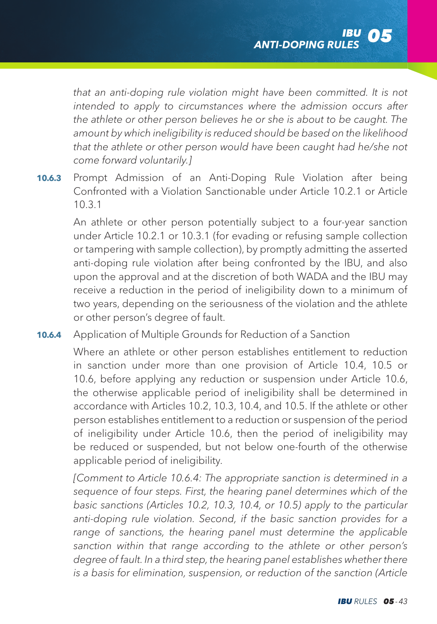*that an anti-doping rule violation might have been committed. It is not intended to apply to circumstances where the admission occurs after the athlete or other person believes he or she is about to be caught. The amount by which ineligibility is reduced should be based on the likelihood that the athlete or other person would have been caught had he/she not come forward voluntarily.]*

**10.6.3** Prompt Admission of an Anti-Doping Rule Violation after being Confronted with a Violation Sanctionable under Article 10.2.1 or Article 10.3.1

 An athlete or other person potentially subject to a four-year sanction under Article 10.2.1 or 10.3.1 (for evading or refusing sample collection or tampering with sample collection), by promptly admitting the asserted anti-doping rule violation after being confronted by the IBU, and also upon the approval and at the discretion of both WADA and the IBU may receive a reduction in the period of ineligibility down to a minimum of two years, depending on the seriousness of the violation and the athlete or other person's degree of fault.

**10.6.4** Application of Multiple Grounds for Reduction of a Sanction

 Where an athlete or other person establishes entitlement to reduction in sanction under more than one provision of Article 10.4, 10.5 or 10.6, before applying any reduction or suspension under Article 10.6, the otherwise applicable period of ineligibility shall be determined in accordance with Articles 10.2, 10.3, 10.4, and 10.5. If the athlete or other person establishes entitlement to a reduction or suspension of the period of ineligibility under Article 10.6, then the period of ineligibility may be reduced or suspended, but not below one-fourth of the otherwise applicable period of ineligibility.

*[Comment to Article 10.6.4: The appropriate sanction is determined in a sequence of four steps. First, the hearing panel determines which of the basic sanctions (Articles 10.2, 10.3, 10.4, or 10.5) apply to the particular anti-doping rule violation. Second, if the basic sanction provides for a*  range of sanctions, the hearing panel must determine the applicable *sanction within that range according to the athlete or other person's degree of fault. In a third step, the hearing panel establishes whether there is a basis for elimination, suspension, or reduction of the sanction (Article*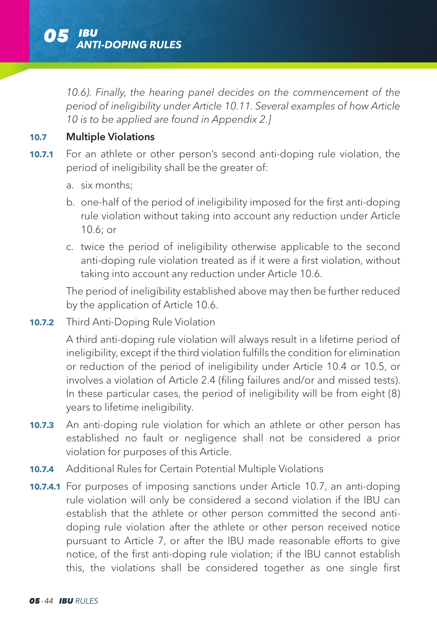

*10.6). Finally, the hearing panel decides on the commencement of the period of ineligibility under Article 10.11. Several examples of how Article 10 is to be applied are found in Appendix 2.]*

#### **10.7** Multiple Violations

- **10.7.1** For an athlete or other person's second anti-doping rule violation, the period of ineligibility shall be the greater of:
	- a. six months:
	- b. one-half of the period of ineligibility imposed for the first anti-doping rule violation without taking into account any reduction under Article 10.6; or
	- c. twice the period of ineligibility otherwise applicable to the second anti-doping rule violation treated as if it were a first violation, without taking into account any reduction under Article 10.6.

 The period of ineligibility established above may then be further reduced by the application of Article 10.6.

**10.7.2** Third Anti-Doping Rule Violation

 A third anti-doping rule violation will always result in a lifetime period of ineligibility, except if the third violation fulfills the condition for elimination or reduction of the period of ineligibility under Article 10.4 or 10.5, or involves a violation of Article 2.4 (filing failures and/or and missed tests). In these particular cases, the period of ineligibility will be from eight (8) years to lifetime ineligibility.

- **10.7.3** An anti-doping rule violation for which an athlete or other person has established no fault or negligence shall not be considered a prior violation for purposes of this Article.
- **10.7.4** Additional Rules for Certain Potential Multiple Violations
- **10.7.4.1** For purposes of imposing sanctions under Article 10.7, an anti-doping rule violation will only be considered a second violation if the IBU can establish that the athlete or other person committed the second antidoping rule violation after the athlete or other person received notice pursuant to Article 7, or after the IBU made reasonable efforts to give notice, of the first anti-doping rule violation; if the IBU cannot establish this, the violations shall be considered together as one single first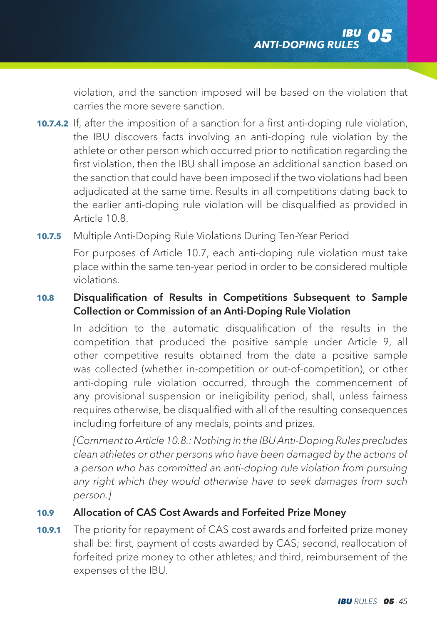violation, and the sanction imposed will be based on the violation that carries the more severe sanction.

**10.7.4.2** If, after the imposition of a sanction for a first anti-doping rule violation, the IBU discovers facts involving an anti-doping rule violation by the athlete or other person which occurred prior to notification regarding the first violation, then the IBU shall impose an additional sanction based on the sanction that could have been imposed if the two violations had been adjudicated at the same time. Results in all competitions dating back to the earlier anti-doping rule violation will be disqualified as provided in Article 10.8.

**10.7.5** Multiple Anti-Doping Rule Violations During Ten-Year Period For purposes of Article 10.7, each anti-doping rule violation must take place within the same ten-year period in order to be considered multiple violations.

## **10.8** Disqualification of Results in Competitions Subsequent to Sample Collection or Commission of an Anti-Doping Rule Violation

 In addition to the automatic disqualification of the results in the competition that produced the positive sample under Article 9, all other competitive results obtained from the date a positive sample was collected (whether in-competition or out-of-competition), or other anti-doping rule violation occurred, through the commencement of any provisional suspension or ineligibility period, shall, unless fairness requires otherwise, be disqualified with all of the resulting consequences including forfeiture of any medals, points and prizes.

*[Comment to Article 10.8.: Nothing in the IBU Anti-Doping Rules precludes clean athletes or other persons who have been damaged by the actions of a person who has committed an anti-doping rule violation from pursuing any right which they would otherwise have to seek damages from such person.]*

### **10.9** Allocation of CAS Cost Awards and Forfeited Prize Money

**10.9.1** The priority for repayment of CAS cost awards and forfeited prize money shall be: first, payment of costs awarded by CAS; second, reallocation of forfeited prize money to other athletes; and third, reimbursement of the expenses of the IBU.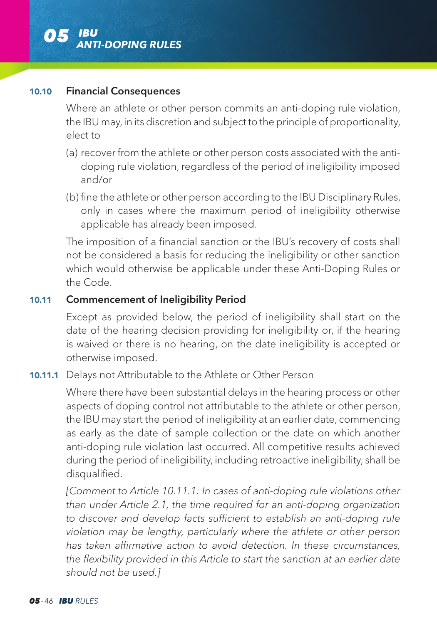

### **10.10** Financial Consequences

 Where an athlete or other person commits an anti-doping rule violation, the IBU may, in its discretion and subject to the principle of proportionality, elect to

- (a) recover from the athlete or other person costs associated with the antidoping rule violation, regardless of the period of ineligibility imposed and/or
- (b) fine the athlete or other person according to the IBU Disciplinary Rules, only in cases where the maximum period of ineligibility otherwise applicable has already been imposed.

 The imposition of a financial sanction or the IBU's recovery of costs shall not be considered a basis for reducing the ineligibility or other sanction which would otherwise be applicable under these Anti-Doping Rules or the Code.

### **10.11** Commencement of Ineligibility Period

 Except as provided below, the period of ineligibility shall start on the date of the hearing decision providing for ineligibility or, if the hearing is waived or there is no hearing, on the date ineligibility is accepted or otherwise imposed.

### **10.11.1** Delays not Attributable to the Athlete or Other Person

 Where there have been substantial delays in the hearing process or other aspects of doping control not attributable to the athlete or other person, the IBU may start the period of ineligibility at an earlier date, commencing as early as the date of sample collection or the date on which another anti-doping rule violation last occurred. All competitive results achieved during the period of ineligibility, including retroactive ineligibility, shall be disqualified.

*[Comment to Article 10.11.1: In cases of anti-doping rule violations other than under Article 2.1, the time required for an anti-doping organization to discover and develop facts sufficient to establish an anti-doping rule violation may be lengthy, particularly where the athlete or other person has taken affirmative action to avoid detection. In these circumstances, the flexibility provided in this Article to start the sanction at an earlier date should not be used.]*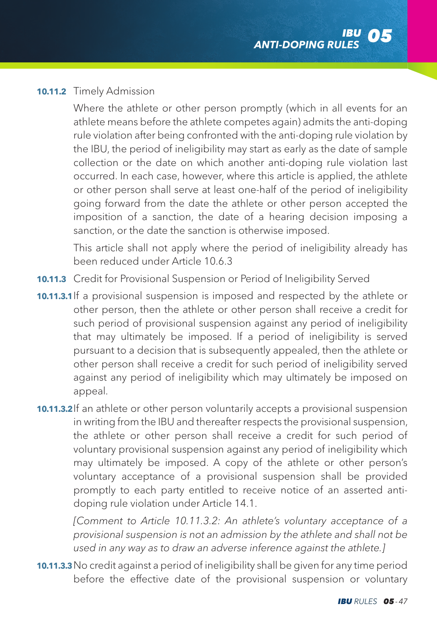#### **10.11.2** Timely Admission

 Where the athlete or other person promptly (which in all events for an athlete means before the athlete competes again) admits the anti-doping rule violation after being confronted with the anti-doping rule violation by the IBU, the period of ineligibility may start as early as the date of sample collection or the date on which another anti-doping rule violation last occurred. In each case, however, where this article is applied, the athlete or other person shall serve at least one-half of the period of ineligibility going forward from the date the athlete or other person accepted the imposition of a sanction, the date of a hearing decision imposing a sanction, or the date the sanction is otherwise imposed.

 This article shall not apply where the period of ineligibility already has been reduced under Article 10.6.3

**10.11.3** Credit for Provisional Suspension or Period of Ineligibility Served

**10.11.3.1** If a provisional suspension is imposed and respected by the athlete or other person, then the athlete or other person shall receive a credit for such period of provisional suspension against any period of ineligibility that may ultimately be imposed. If a period of ineligibility is served pursuant to a decision that is subsequently appealed, then the athlete or other person shall receive a credit for such period of ineligibility served against any period of ineligibility which may ultimately be imposed on appeal.

**10.11.3.2** If an athlete or other person voluntarily accepts a provisional suspension in writing from the IBU and thereafter respects the provisional suspension, the athlete or other person shall receive a credit for such period of voluntary provisional suspension against any period of ineligibility which may ultimately be imposed. A copy of the athlete or other person's voluntary acceptance of a provisional suspension shall be provided promptly to each party entitled to receive notice of an asserted antidoping rule violation under Article 14.1.

*[Comment to Article 10.11.3.2: An athlete's voluntary acceptance of a provisional suspension is not an admission by the athlete and shall not be used in any way as to draw an adverse inference against the athlete.]*

**10.11.3.3** No credit against a period of ineligibility shall be given for any time period before the effective date of the provisional suspension or voluntary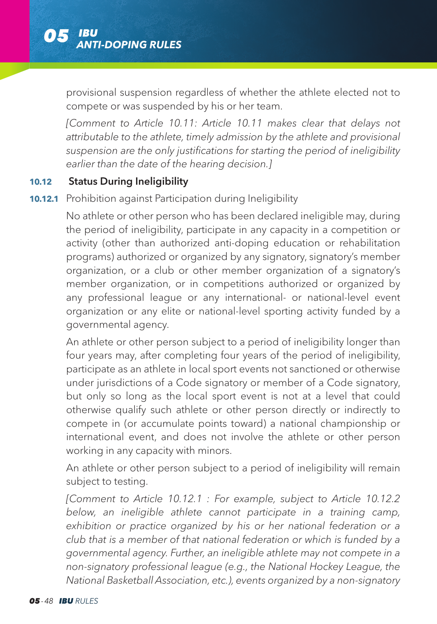provisional suspension regardless of whether the athlete elected not to compete or was suspended by his or her team.

*[Comment to Article 10.11: Article 10.11 makes clear that delays not attributable to the athlete, timely admission by the athlete and provisional suspension are the only justifications for starting the period of ineligibility earlier than the date of the hearing decision.]*

#### **10.12** Status During Ineligibility

#### **10.12.1** Prohibition against Participation during Ineligibility

 No athlete or other person who has been declared ineligible may, during the period of ineligibility, participate in any capacity in a competition or activity (other than authorized anti-doping education or rehabilitation programs) authorized or organized by any signatory, signatory's member organization, or a club or other member organization of a signatory's member organization, or in competitions authorized or organized by any professional league or any international- or national-level event organization or any elite or national-level sporting activity funded by a governmental agency.

 An athlete or other person subject to a period of ineligibility longer than four years may, after completing four years of the period of ineligibility, participate as an athlete in local sport events not sanctioned or otherwise under jurisdictions of a Code signatory or member of a Code signatory, but only so long as the local sport event is not at a level that could otherwise qualify such athlete or other person directly or indirectly to compete in (or accumulate points toward) a national championship or international event, and does not involve the athlete or other person working in any capacity with minors.

 An athlete or other person subject to a period of ineligibility will remain subject to testing.

*[Comment to Article 10.12.1 : For example, subject to Article 10.12.2 below, an ineligible athlete cannot participate in a training camp, exhibition or practice organized by his or her national federation or a club that is a member of that national federation or which is funded by a governmental agency. Further, an ineligible athlete may not compete in a non-signatory professional league (e.g., the National Hockey League, the National Basketball Association, etc.), events organized by a non-signatory*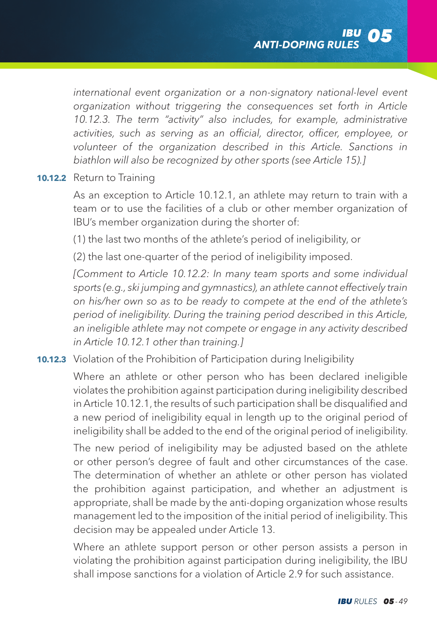*international event organization or a non-signatory national-level event organization without triggering the consequences set forth in Article 10.12.3. The term "activity" also includes, for example, administrative activities, such as serving as an official, director, officer, employee, or volunteer of the organization described in this Article. Sanctions in biathlon will also be recognized by other sports (see Article 15).]*

#### **10.12.2** Return to Training

 As an exception to Article 10.12.1, an athlete may return to train with a team or to use the facilities of a club or other member organization of IBU's member organization during the shorter of:

(1) the last two months of the athlete's period of ineligibility, or

(2) the last one-quarter of the period of ineligibility imposed.

*[Comment to Article 10.12.2: In many team sports and some individual sports (e.g., ski jumping and gymnastics), an athlete cannot effectively train on his/her own so as to be ready to compete at the end of the athlete's period of ineligibility. During the training period described in this Article, an ineligible athlete may not compete or engage in any activity described in Article 10.12.1 other than training.]*

**10.12.3** Violation of the Prohibition of Participation during Ineligibility

 Where an athlete or other person who has been declared ineligible violates the prohibition against participation during ineligibility described in Article 10.12.1, the results of such participation shall be disqualified and a new period of ineligibility equal in length up to the original period of ineligibility shall be added to the end of the original period of ineligibility.

 The new period of ineligibility may be adjusted based on the athlete or other person's degree of fault and other circumstances of the case. The determination of whether an athlete or other person has violated the prohibition against participation, and whether an adjustment is appropriate, shall be made by the anti-doping organization whose results management led to the imposition of the initial period of ineligibility. This decision may be appealed under Article 13.

 Where an athlete support person or other person assists a person in violating the prohibition against participation during ineligibility, the IBU shall impose sanctions for a violation of Article 2.9 for such assistance.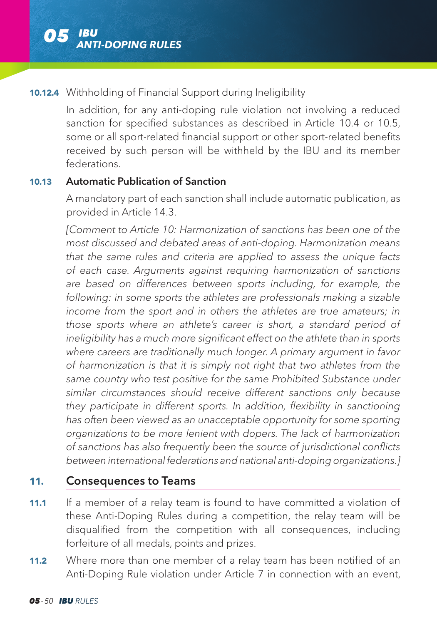### **10.12.4** Withholding of Financial Support during Ineligibility

 In addition, for any anti-doping rule violation not involving a reduced sanction for specified substances as described in Article 10.4 or 10.5, some or all sport-related financial support or other sport-related benefits received by such person will be withheld by the IBU and its member federations.

#### **10.13** Automatic Publication of Sanction

 A mandatory part of each sanction shall include automatic publication, as provided in Article 14.3.

*[Comment to Article 10: Harmonization of sanctions has been one of the most discussed and debated areas of anti-doping. Harmonization means that the same rules and criteria are applied to assess the unique facts of each case. Arguments against requiring harmonization of sanctions are based on differences between sports including, for example, the following: in some sports the athletes are professionals making a sizable income from the sport and in others the athletes are true amateurs; in those sports where an athlete's career is short, a standard period of ineligibility has a much more significant effect on the athlete than in sports where careers are traditionally much longer. A primary argument in favor of harmonization is that it is simply not right that two athletes from the same country who test positive for the same Prohibited Substance under similar circumstances should receive different sanctions only because they participate in different sports. In addition, flexibility in sanctioning has often been viewed as an unacceptable opportunity for some sporting organizations to be more lenient with dopers. The lack of harmonization of sanctions has also frequently been the source of jurisdictional conflicts between international federations and national anti-doping organizations.]*

# **11.** Consequences to Teams

- **11.1** If a member of a relay team is found to have committed a violation of these Anti-Doping Rules during a competition, the relay team will be disqualified from the competition with all consequences, including forfeiture of all medals, points and prizes.
- **11.2** Where more than one member of a relay team has been notified of an Anti-Doping Rule violation under Article 7 in connection with an event,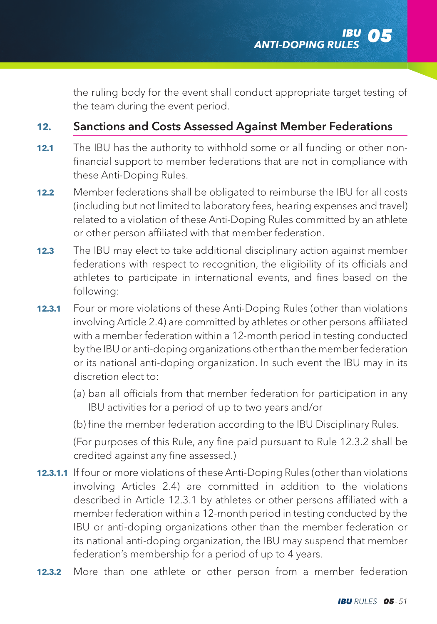the ruling body for the event shall conduct appropriate target testing of the team during the event period.

# **12.** Sanctions and Costs Assessed Against Member Federations

- **12.1** The IBU has the authority to withhold some or all funding or other nonfinancial support to member federations that are not in compliance with these Anti-Doping Rules.
- **12.2** Member federations shall be obligated to reimburse the IBU for all costs (including but not limited to laboratory fees, hearing expenses and travel) related to a violation of these Anti-Doping Rules committed by an athlete or other person affiliated with that member federation.
- **12.3** The IBU may elect to take additional disciplinary action against member federations with respect to recognition, the eligibility of its officials and athletes to participate in international events, and fines based on the following:
- **12.3.1** Four or more violations of these Anti-Doping Rules (other than violations involving Article 2.4) are committed by athletes or other persons affiliated with a member federation within a 12-month period in testing conducted by the IBU or anti-doping organizations other than the member federation or its national anti-doping organization. In such event the IBU may in its discretion elect to:
	- (a) ban all officials from that member federation for participation in any IBU activities for a period of up to two years and/or
	- (b) fine the member federation according to the IBU Disciplinary Rules.

 (For purposes of this Rule, any fine paid pursuant to Rule 12.3.2 shall be credited against any fine assessed.)

- **12.3.1.1** If four or more violations of these Anti-Doping Rules (other than violations involving Articles 2.4) are committed in addition to the violations described in Article 12.3.1 by athletes or other persons affiliated with a member federation within a 12-month period in testing conducted by the IBU or anti-doping organizations other than the member federation or its national anti-doping organization, the IBU may suspend that member federation's membership for a period of up to 4 years.
- **12.3.2** More than one athlete or other person from a member federation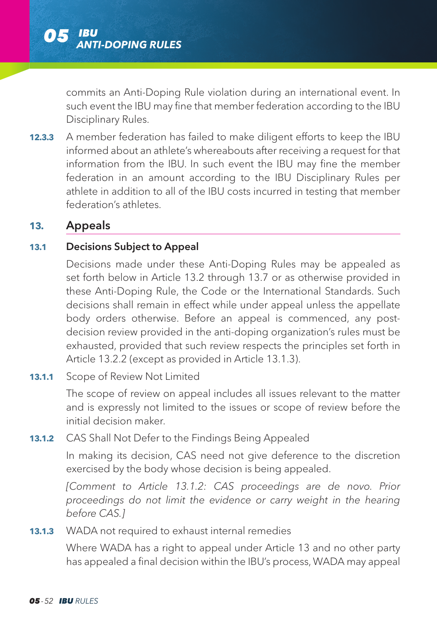commits an Anti-Doping Rule violation during an international event. In such event the IBU may fine that member federation according to the IBU Disciplinary Rules.

**12.3.3** A member federation has failed to make diligent efforts to keep the IBU informed about an athlete's whereabouts after receiving a request for that information from the IBU. In such event the IBU may fine the member federation in an amount according to the IBU Disciplinary Rules per athlete in addition to all of the IBU costs incurred in testing that member federation's athletes.

### **13.** Appeals

### **13.1** Decisions Subject to Appeal

 Decisions made under these Anti-Doping Rules may be appealed as set forth below in Article 13.2 through 13.7 or as otherwise provided in these Anti-Doping Rule, the Code or the International Standards. Such decisions shall remain in effect while under appeal unless the appellate body orders otherwise. Before an appeal is commenced, any postdecision review provided in the anti-doping organization's rules must be exhausted, provided that such review respects the principles set forth in Article 13.2.2 (except as provided in Article 13.1.3).

#### **13.1.1** Scope of Review Not Limited

 The scope of review on appeal includes all issues relevant to the matter and is expressly not limited to the issues or scope of review before the initial decision maker.

## **13.1.2** CAS Shall Not Defer to the Findings Being Appealed

 In making its decision, CAS need not give deference to the discretion exercised by the body whose decision is being appealed.

*[Comment to Article 13.1.2: CAS proceedings are de novo. Prior proceedings do not limit the evidence or carry weight in the hearing before CAS.]*

### **13.1.3** WADA not required to exhaust internal remedies

 Where WADA has a right to appeal under Article 13 and no other party has appealed a final decision within the IBU's process, WADA may appeal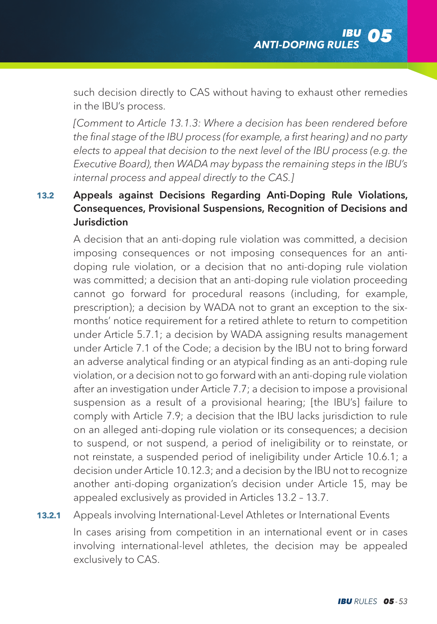such decision directly to CAS without having to exhaust other remedies in the IBU's process.

 *[Comment to Article 13.1.3: Where a decision has been rendered before the final stage of the IBU process (for example, a first hearing) and no party elects to appeal that decision to the next level of the IBU process (e.g. the Executive Board), then WADA may bypass the remaining steps in the IBU's internal process and appeal directly to the CAS.]*

# **13.2** Appeals against Decisions Regarding Anti-Doping Rule Violations, Consequences, Provisional Suspensions, Recognition of Decisions and Jurisdiction

 A decision that an anti-doping rule violation was committed, a decision imposing consequences or not imposing consequences for an antidoping rule violation, or a decision that no anti-doping rule violation was committed; a decision that an anti-doping rule violation proceeding cannot go forward for procedural reasons (including, for example, prescription); a decision by WADA not to grant an exception to the sixmonths' notice requirement for a retired athlete to return to competition under Article 5.7.1; a decision by WADA assigning results management under Article 7.1 of the Code; a decision by the IBU not to bring forward an adverse analytical finding or an atypical finding as an anti-doping rule violation, or a decision not to go forward with an anti-doping rule violation after an investigation under Article 7.7; a decision to impose a provisional suspension as a result of a provisional hearing; [the IBU's] failure to comply with Article 7.9; a decision that the IBU lacks jurisdiction to rule on an alleged anti-doping rule violation or its consequences; a decision to suspend, or not suspend, a period of ineligibility or to reinstate, or not reinstate, a suspended period of ineligibility under Article 10.6.1; a decision under Article 10.12.3; and a decision by the IBU not to recognize another anti-doping organization's decision under Article 15, may be appealed exclusively as provided in Articles 13.2 – 13.7.

**13.2.1** Appeals involving International-Level Athletes or International Events

 In cases arising from competition in an international event or in cases involving international-level athletes, the decision may be appealed exclusively to CAS.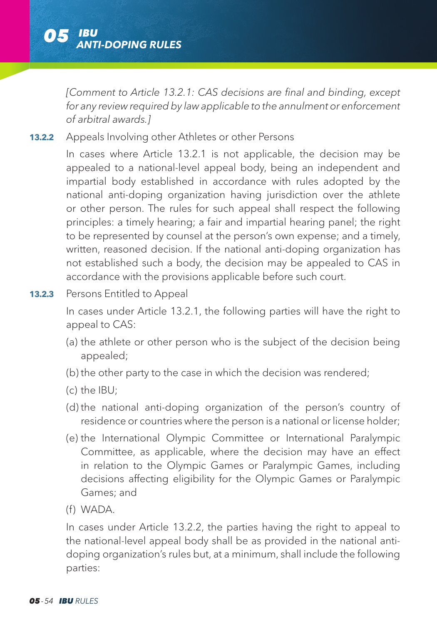

*[Comment to Article 13.2.1: CAS decisions are final and binding, except for any review required by law applicable to the annulment or enforcement of arbitral awards.]*

**13.2.2** Appeals Involving other Athletes or other Persons

 In cases where Article 13.2.1 is not applicable, the decision may be appealed to a national-level appeal body, being an independent and impartial body established in accordance with rules adopted by the national anti-doping organization having jurisdiction over the athlete or other person. The rules for such appeal shall respect the following principles: a timely hearing; a fair and impartial hearing panel; the right to be represented by counsel at the person's own expense; and a timely, written, reasoned decision. If the national anti-doping organization has not established such a body, the decision may be appealed to CAS in accordance with the provisions applicable before such court.

**13.2.3** Persons Entitled to Appeal

 In cases under Article 13.2.1, the following parties will have the right to appeal to CAS:

- (a) the athlete or other person who is the subject of the decision being appealed;
- (b) the other party to the case in which the decision was rendered;
- (c) the IBU;
- (d) the national anti-doping organization of the person's country of residence or countries where the person is a national or license holder;
- (e) the International Olympic Committee or International Paralympic Committee, as applicable, where the decision may have an effect in relation to the Olympic Games or Paralympic Games, including decisions affecting eligibility for the Olympic Games or Paralympic Games; and
- (f) WADA.

 In cases under Article 13.2.2, the parties having the right to appeal to the national-level appeal body shall be as provided in the national antidoping organization's rules but, at a minimum, shall include the following parties: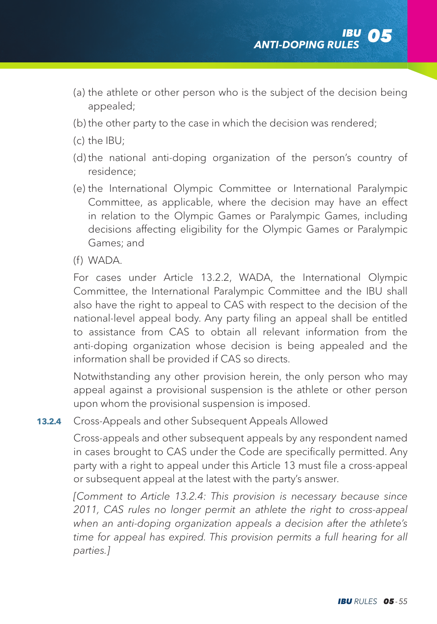- (a) the athlete or other person who is the subject of the decision being appealed;
- (b) the other party to the case in which the decision was rendered;
- (c) the IBU;
- (d) the national anti-doping organization of the person's country of residence;
- (e) the International Olympic Committee or International Paralympic Committee, as applicable, where the decision may have an effect in relation to the Olympic Games or Paralympic Games, including decisions affecting eligibility for the Olympic Games or Paralympic Games; and
- (f) WADA.

 For cases under Article 13.2.2, WADA, the International Olympic Committee, the International Paralympic Committee and the IBU shall also have the right to appeal to CAS with respect to the decision of the national-level appeal body. Any party filing an appeal shall be entitled to assistance from CAS to obtain all relevant information from the anti-doping organization whose decision is being appealed and the information shall be provided if CAS so directs.

 Notwithstanding any other provision herein, the only person who may appeal against a provisional suspension is the athlete or other person upon whom the provisional suspension is imposed.

#### **13.2.4** Cross-Appeals and other Subsequent Appeals Allowed

 Cross-appeals and other subsequent appeals by any respondent named in cases brought to CAS under the Code are specifically permitted. Any party with a right to appeal under this Article 13 must file a cross-appeal or subsequent appeal at the latest with the party's answer.

*[Comment to Article 13.2.4: This provision is necessary because since 2011, CAS rules no longer permit an athlete the right to cross-appeal when an anti-doping organization appeals a decision after the athlete's*  time for appeal has expired. This provision permits a full hearing for all *parties.]*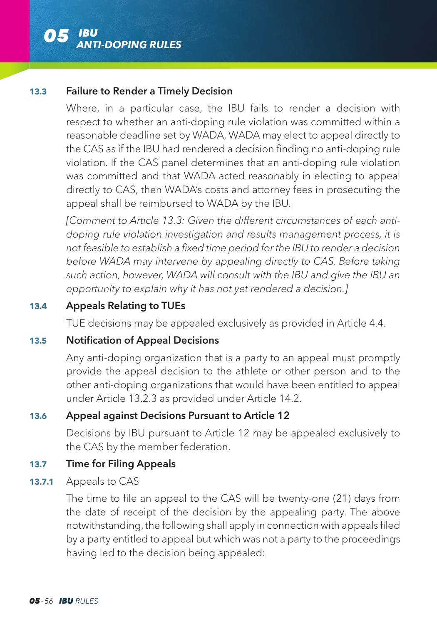

#### **13.3** Failure to Render a Timely Decision

 Where, in a particular case, the IBU fails to render a decision with respect to whether an anti-doping rule violation was committed within a reasonable deadline set by WADA, WADA may elect to appeal directly to the CAS as if the IBU had rendered a decision finding no anti-doping rule violation. If the CAS panel determines that an anti-doping rule violation was committed and that WADA acted reasonably in electing to appeal directly to CAS, then WADA's costs and attorney fees in prosecuting the appeal shall be reimbursed to WADA by the IBU.

*[Comment to Article 13.3: Given the different circumstances of each antidoping rule violation investigation and results management process, it is not feasible to establish a fixed time period for the IBU to render a decision before WADA may intervene by appealing directly to CAS. Before taking such action, however, WADA will consult with the IBU and give the IBU an opportunity to explain why it has not yet rendered a decision.]*

### **13.4** Appeals Relating to TUEs

TUE decisions may be appealed exclusively as provided in Article 4.4.

#### **13.5** Notification of Appeal Decisions

 Any anti-doping organization that is a party to an appeal must promptly provide the appeal decision to the athlete or other person and to the other anti-doping organizations that would have been entitled to appeal under Article 13.2.3 as provided under Article 14.2.

#### **13.6** Appeal against Decisions Pursuant to Article 12

 Decisions by IBU pursuant to Article 12 may be appealed exclusively to the CAS by the member federation.

#### **13.7** Time for Filing Appeals

**13.7.1** Appeals to CAS

 The time to file an appeal to the CAS will be twenty-one (21) days from the date of receipt of the decision by the appealing party. The above notwithstanding, the following shall apply in connection with appeals filed by a party entitled to appeal but which was not a party to the proceedings having led to the decision being appealed: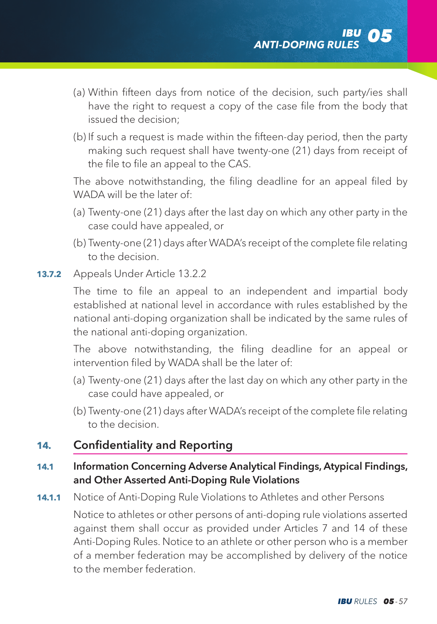- (a) Within fifteen days from notice of the decision, such party/ies shall have the right to request a copy of the case file from the body that issued the decision;
- (b) If such a request is made within the fifteen-day period, then the party making such request shall have twenty-one (21) days from receipt of the file to file an appeal to the CAS.

 The above notwithstanding, the filing deadline for an appeal filed by WADA will be the later of:

- (a) Twenty-one (21) days after the last day on which any other party in the case could have appealed, or
- (b) Twenty-one (21) days after WADA's receipt of the complete file relating to the decision.
- **13.7.2** Appeals Under Article 13.2.2

 The time to file an appeal to an independent and impartial body established at national level in accordance with rules established by the national anti-doping organization shall be indicated by the same rules of the national anti-doping organization.

 The above notwithstanding, the filing deadline for an appeal or intervention filed by WADA shall be the later of:

- (a) Twenty-one (21) days after the last day on which any other party in the case could have appealed, or
- (b) Twenty-one (21) days after WADA's receipt of the complete file relating to the decision.

# **14.** Confidentiality and Reporting

### **14.1** Information Concerning Adverse Analytical Findings, Atypical Findings, and Other Asserted Anti-Doping Rule Violations

**14.1.1** Notice of Anti-Doping Rule Violations to Athletes and other Persons

 Notice to athletes or other persons of anti-doping rule violations asserted against them shall occur as provided under Articles 7 and 14 of these Anti-Doping Rules. Notice to an athlete or other person who is a member of a member federation may be accomplished by delivery of the notice to the member federation.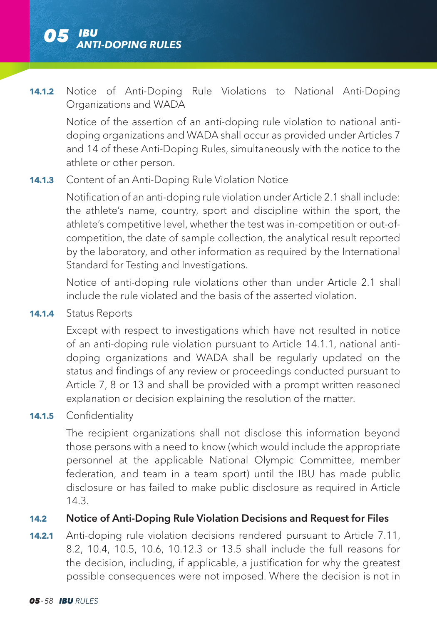

### **14.1.2** Notice of Anti-Doping Rule Violations to National Anti-Doping Organizations and WADA

 Notice of the assertion of an anti-doping rule violation to national antidoping organizations and WADA shall occur as provided under Articles 7 and 14 of these Anti-Doping Rules, simultaneously with the notice to the athlete or other person.

#### **14.1.3** Content of an Anti-Doping Rule Violation Notice

 Notification of an anti-doping rule violation under Article 2.1 shall include: the athlete's name, country, sport and discipline within the sport, the athlete's competitive level, whether the test was in-competition or out-ofcompetition, the date of sample collection, the analytical result reported by the laboratory, and other information as required by the International Standard for Testing and Investigations.

 Notice of anti-doping rule violations other than under Article 2.1 shall include the rule violated and the basis of the asserted violation.

**14.1.4** Status Reports

 Except with respect to investigations which have not resulted in notice of an anti-doping rule violation pursuant to Article 14.1.1, national antidoping organizations and WADA shall be regularly updated on the status and findings of any review or proceedings conducted pursuant to Article 7, 8 or 13 and shall be provided with a prompt written reasoned explanation or decision explaining the resolution of the matter.

14.1.5 Confidentiality

 The recipient organizations shall not disclose this information beyond those persons with a need to know (which would include the appropriate personnel at the applicable National Olympic Committee, member federation, and team in a team sport) until the IBU has made public disclosure or has failed to make public disclosure as required in Article 14.3.

#### **14.2** Notice of Anti-Doping Rule Violation Decisions and Request for Files

**14.2.1** Anti-doping rule violation decisions rendered pursuant to Article 7.11, 8.2, 10.4, 10.5, 10.6, 10.12.3 or 13.5 shall include the full reasons for the decision, including, if applicable, a justification for why the greatest possible consequences were not imposed. Where the decision is not in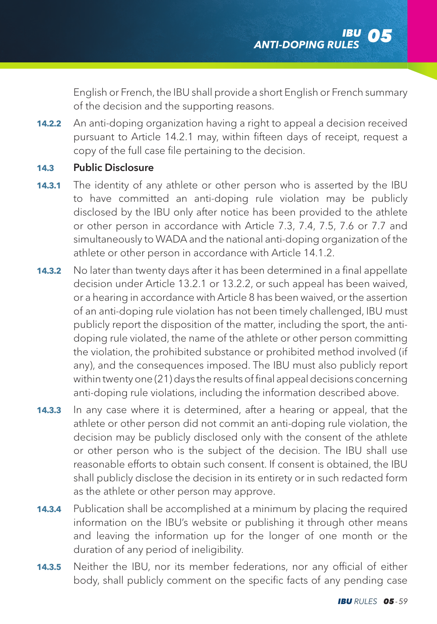English or French, the IBU shall provide a short English or French summary of the decision and the supporting reasons.

**14.2.2** An anti-doping organization having a right to appeal a decision received pursuant to Article 14.2.1 may, within fifteen days of receipt, request a copy of the full case file pertaining to the decision.

#### **14.3** Public Disclosure

- **14.3.1** The identity of any athlete or other person who is asserted by the IBU to have committed an anti-doping rule violation may be publicly disclosed by the IBU only after notice has been provided to the athlete or other person in accordance with Article 7.3, 7.4, 7.5, 7.6 or 7.7 and simultaneously to WADA and the national anti-doping organization of the athlete or other person in accordance with Article 14.1.2.
- **14.3.2** No later than twenty days after it has been determined in a final appellate decision under Article 13.2.1 or 13.2.2, or such appeal has been waived, or a hearing in accordance with Article 8 has been waived, or the assertion of an anti-doping rule violation has not been timely challenged, IBU must publicly report the disposition of the matter, including the sport, the antidoping rule violated, the name of the athlete or other person committing the violation, the prohibited substance or prohibited method involved (if any), and the consequences imposed. The IBU must also publicly report within twenty one (21) days the results of final appeal decisions concerning anti-doping rule violations, including the information described above.
- **14.3.3** In any case where it is determined, after a hearing or appeal, that the athlete or other person did not commit an anti-doping rule violation, the decision may be publicly disclosed only with the consent of the athlete or other person who is the subject of the decision. The IBU shall use reasonable efforts to obtain such consent. If consent is obtained, the IBU shall publicly disclose the decision in its entirety or in such redacted form as the athlete or other person may approve.
- **14.3.4** Publication shall be accomplished at a minimum by placing the required information on the IBU's website or publishing it through other means and leaving the information up for the longer of one month or the duration of any period of ineligibility.
- **14.3.5** Neither the IBU, nor its member federations, nor any official of either body, shall publicly comment on the specific facts of any pending case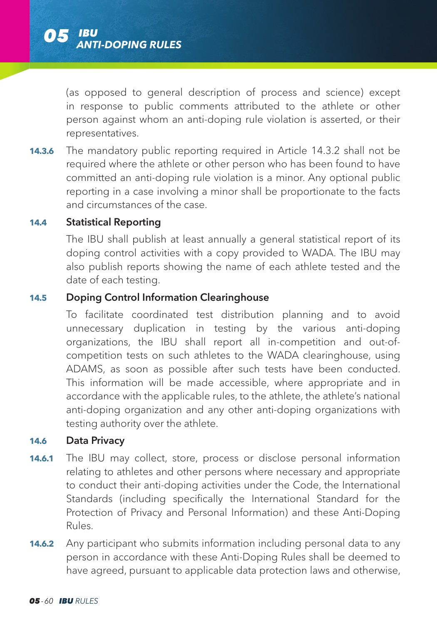(as opposed to general description of process and science) except in response to public comments attributed to the athlete or other person against whom an anti-doping rule violation is asserted, or their representatives.

**14.3.6** The mandatory public reporting required in Article 14.3.2 shall not be required where the athlete or other person who has been found to have committed an anti-doping rule violation is a minor. Any optional public reporting in a case involving a minor shall be proportionate to the facts and circumstances of the case.

#### **14.4** Statistical Reporting

 The IBU shall publish at least annually a general statistical report of its doping control activities with a copy provided to WADA. The IBU may also publish reports showing the name of each athlete tested and the date of each testing.

# **14.5** Doping Control Information Clearinghouse

 To facilitate coordinated test distribution planning and to avoid unnecessary duplication in testing by the various anti-doping organizations, the IBU shall report all in-competition and out-ofcompetition tests on such athletes to the WADA clearinghouse, using ADAMS, as soon as possible after such tests have been conducted. This information will be made accessible, where appropriate and in accordance with the applicable rules, to the athlete, the athlete's national anti-doping organization and any other anti-doping organizations with testing authority over the athlete.

#### **14.6** Data Privacy

- **14.6.1** The IBU may collect, store, process or disclose personal information relating to athletes and other persons where necessary and appropriate to conduct their anti-doping activities under the Code, the International Standards (including specifically the International Standard for the Protection of Privacy and Personal Information) and these Anti-Doping Rules.
- **14.6.2** Any participant who submits information including personal data to any person in accordance with these Anti-Doping Rules shall be deemed to have agreed, pursuant to applicable data protection laws and otherwise,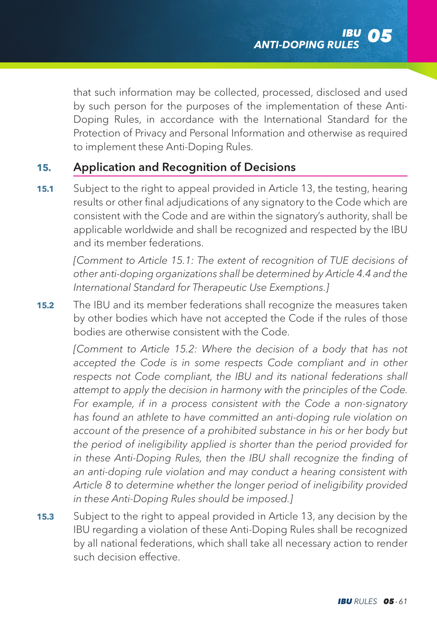that such information may be collected, processed, disclosed and used by such person for the purposes of the implementation of these Anti-Doping Rules, in accordance with the International Standard for the Protection of Privacy and Personal Information and otherwise as required to implement these Anti-Doping Rules.

# **15.** Application and Recognition of Decisions

**15.1** Subject to the right to appeal provided in Article 13, the testing, hearing results or other final adjudications of any signatory to the Code which are consistent with the Code and are within the signatory's authority, shall be applicable worldwide and shall be recognized and respected by the IBU and its member federations.

*[Comment to Article 15.1: The extent of recognition of TUE decisions of other anti-doping organizations shall be determined by Article 4.4 and the International Standard for Therapeutic Use Exemptions.]*

**15.2** The IBU and its member federations shall recognize the measures taken by other bodies which have not accepted the Code if the rules of those bodies are otherwise consistent with the Code.

*[Comment to Article 15.2: Where the decision of a body that has not accepted the Code is in some respects Code compliant and in other respects not Code compliant, the IBU and its national federations shall attempt to apply the decision in harmony with the principles of the Code. For example, if in a process consistent with the Code a non-signatory has found an athlete to have committed an anti-doping rule violation on account of the presence of a prohibited substance in his or her body but the period of ineligibility applied is shorter than the period provided for in these Anti-Doping Rules, then the IBU shall recognize the finding of an anti-doping rule violation and may conduct a hearing consistent with Article 8 to determine whether the longer period of ineligibility provided in these Anti-Doping Rules should be imposed.]*

**15.3** Subject to the right to appeal provided in Article 13, any decision by the IBU regarding a violation of these Anti-Doping Rules shall be recognized by all national federations, which shall take all necessary action to render such decision effective.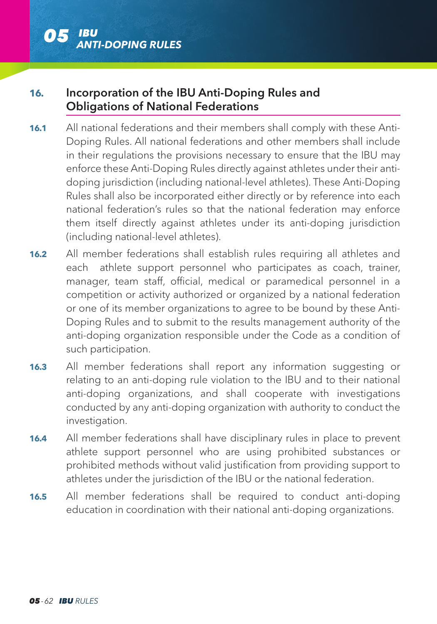

# **16.** Incorporation of the IBU Anti-Doping Rules and Obligations of National Federations

- **16.1** All national federations and their members shall comply with these Anti-Doping Rules. All national federations and other members shall include in their regulations the provisions necessary to ensure that the IBU may enforce these Anti-Doping Rules directly against athletes under their antidoping jurisdiction (including national-level athletes). These Anti-Doping Rules shall also be incorporated either directly or by reference into each national federation's rules so that the national federation may enforce them itself directly against athletes under its anti-doping jurisdiction (including national-level athletes).
- **16.2** All member federations shall establish rules requiring all athletes and each athlete support personnel who participates as coach, trainer, manager, team staff, official, medical or paramedical personnel in a competition or activity authorized or organized by a national federation or one of its member organizations to agree to be bound by these Anti-Doping Rules and to submit to the results management authority of the anti-doping organization responsible under the Code as a condition of such participation.
- **16.3** All member federations shall report any information suggesting or relating to an anti-doping rule violation to the IBU and to their national anti-doping organizations, and shall cooperate with investigations conducted by any anti-doping organization with authority to conduct the investigation.
- **16.4** All member federations shall have disciplinary rules in place to prevent athlete support personnel who are using prohibited substances or prohibited methods without valid justification from providing support to athletes under the jurisdiction of the IBU or the national federation.
- **16.5** All member federations shall be required to conduct anti-doping education in coordination with their national anti-doping organizations.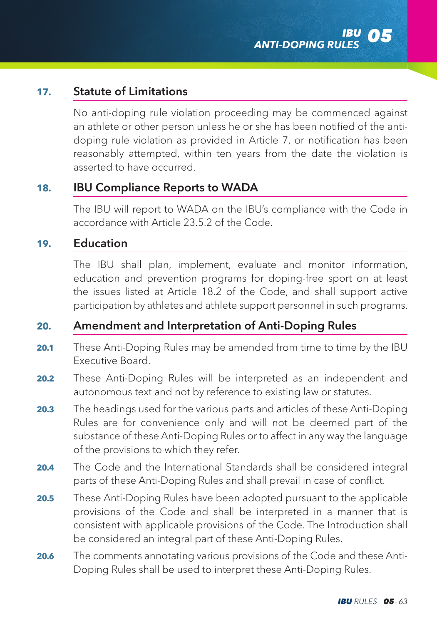## **17.** Statute of Limitations

 No anti-doping rule violation proceeding may be commenced against an athlete or other person unless he or she has been notified of the antidoping rule violation as provided in Article 7, or notification has been reasonably attempted, within ten years from the date the violation is asserted to have occurred.

### **18.** IBU Compliance Reports to WADA

 The IBU will report to WADA on the IBU's compliance with the Code in accordance with Article 23.5.2 of the Code.

## **19.** Education

 The IBU shall plan, implement, evaluate and monitor information, education and prevention programs for doping-free sport on at least the issues listed at Article 18.2 of the Code, and shall support active participation by athletes and athlete support personnel in such programs.

## **20.** Amendment and Interpretation of Anti-Doping Rules

- **20.1** These Anti-Doping Rules may be amended from time to time by the IBU Executive Board.
- **20.2** These Anti-Doping Rules will be interpreted as an independent and autonomous text and not by reference to existing law or statutes.
- **20.3** The headings used for the various parts and articles of these Anti-Doping Rules are for convenience only and will not be deemed part of the substance of these Anti-Doping Rules or to affect in any way the language of the provisions to which they refer.
- **20.4** The Code and the International Standards shall be considered integral parts of these Anti-Doping Rules and shall prevail in case of conflict.
- **20.5** These Anti-Doping Rules have been adopted pursuant to the applicable provisions of the Code and shall be interpreted in a manner that is consistent with applicable provisions of the Code. The Introduction shall be considered an integral part of these Anti-Doping Rules.
- **20.6** The comments annotating various provisions of the Code and these Anti-Doping Rules shall be used to interpret these Anti-Doping Rules.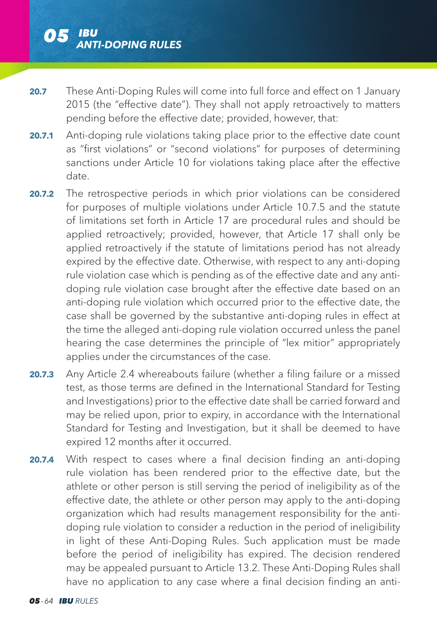- **20.7** These Anti-Doping Rules will come into full force and effect on 1 January 2015 (the "effective date"). They shall not apply retroactively to matters pending before the effective date; provided, however, that:
- **20.7.1** Anti-doping rule violations taking place prior to the effective date count as "first violations" or "second violations" for purposes of determining sanctions under Article 10 for violations taking place after the effective date.
- **20.7.2** The retrospective periods in which prior violations can be considered for purposes of multiple violations under Article 10.7.5 and the statute of limitations set forth in Article 17 are procedural rules and should be applied retroactively; provided, however, that Article 17 shall only be applied retroactively if the statute of limitations period has not already expired by the effective date. Otherwise, with respect to any anti-doping rule violation case which is pending as of the effective date and any antidoping rule violation case brought after the effective date based on an anti-doping rule violation which occurred prior to the effective date, the case shall be governed by the substantive anti-doping rules in effect at the time the alleged anti-doping rule violation occurred unless the panel hearing the case determines the principle of "lex mitior" appropriately applies under the circumstances of the case.
- **20.7.3** Any Article 2.4 whereabouts failure (whether a filing failure or a missed test, as those terms are defined in the International Standard for Testing and Investigations) prior to the effective date shall be carried forward and may be relied upon, prior to expiry, in accordance with the International Standard for Testing and Investigation, but it shall be deemed to have expired 12 months after it occurred.
- **20.7.4** With respect to cases where a final decision finding an anti-doping rule violation has been rendered prior to the effective date, but the athlete or other person is still serving the period of ineligibility as of the effective date, the athlete or other person may apply to the anti-doping organization which had results management responsibility for the antidoping rule violation to consider a reduction in the period of ineligibility in light of these Anti-Doping Rules. Such application must be made before the period of ineligibility has expired. The decision rendered may be appealed pursuant to Article 13.2. These Anti-Doping Rules shall have no application to any case where a final decision finding an anti-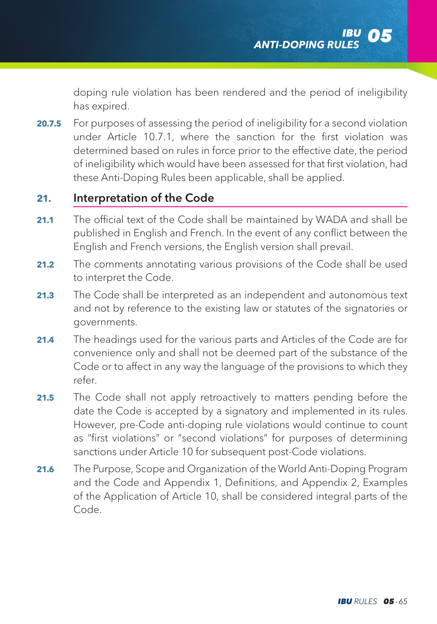doping rule violation has been rendered and the period of ineligibility has expired.

**20.7.5** For purposes of assessing the period of ineligibility for a second violation under Article 10.7.1, where the sanction for the first violation was determined based on rules in force prior to the effective date, the period of ineligibility which would have been assessed for that first violation, had these Anti-Doping Rules been applicable, shall be applied.

# **21.** Interpretation of the Code

- **21.1** The official text of the Code shall be maintained by WADA and shall be published in English and French. In the event of any conflict between the English and French versions, the English version shall prevail.
- **21.2** The comments annotating various provisions of the Code shall be used to interpret the Code.
- **21.3** The Code shall be interpreted as an independent and autonomous text and not by reference to the existing law or statutes of the signatories or governments.
- **21.4** The headings used for the various parts and Articles of the Code are for convenience only and shall not be deemed part of the substance of the Code or to affect in any way the language of the provisions to which they refer.
- **21.5** The Code shall not apply retroactively to matters pending before the date the Code is accepted by a signatory and implemented in its rules. However, pre-Code anti-doping rule violations would continue to count as "first violations" or "second violations" for purposes of determining sanctions under Article 10 for subsequent post-Code violations.
- **21.6** The Purpose, Scope and Organization of the World Anti-Doping Program and the Code and Appendix 1, Definitions, and Appendix 2, Examples of the Application of Article 10, shall be considered integral parts of the Code.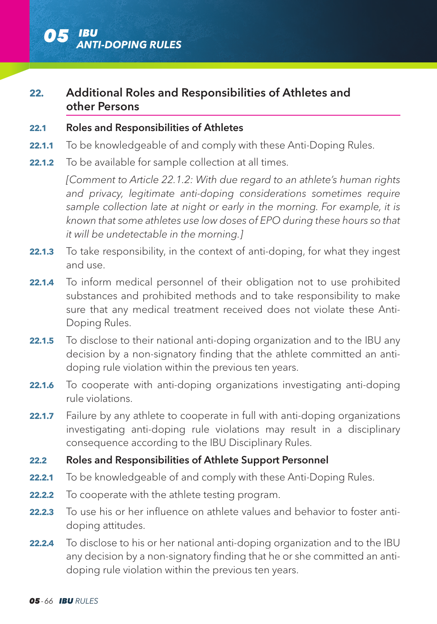

# **22.** Additional Roles and Responsibilities of Athletes and other Persons

#### **22.1** Roles and Responsibilities of Athletes

- **22.1.1** To be knowledgeable of and comply with these Anti-Doping Rules.
- **22.1.2** To be available for sample collection at all times.

*[Comment to Article 22.1.2: With due regard to an athlete's human rights and privacy, legitimate anti-doping considerations sometimes require sample collection late at night or early in the morning. For example, it is known that some athletes use low doses of EPO during these hours so that it will be undetectable in the morning.]*

- **22.1.3** To take responsibility, in the context of anti-doping, for what they ingest and use.
- **22.1.4** To inform medical personnel of their obligation not to use prohibited substances and prohibited methods and to take responsibility to make sure that any medical treatment received does not violate these Anti-Doping Rules.
- **22.1.5** To disclose to their national anti-doping organization and to the IBU any decision by a non-signatory finding that the athlete committed an antidoping rule violation within the previous ten years.
- **22.1.6** To cooperate with anti-doping organizations investigating anti-doping rule violations.
- **22.1.7** Failure by any athlete to cooperate in full with anti-doping organizations investigating anti-doping rule violations may result in a disciplinary consequence according to the IBU Disciplinary Rules.
- **22.2** Roles and Responsibilities of Athlete Support Personnel
- **22.2.1** To be knowledgeable of and comply with these Anti-Doping Rules.
- **22.2.2** To cooperate with the athlete testing program.
- **22.2.3** To use his or her influence on athlete values and behavior to foster antidoping attitudes.
- **22.2.4** To disclose to his or her national anti-doping organization and to the IBU any decision by a non-signatory finding that he or she committed an antidoping rule violation within the previous ten years.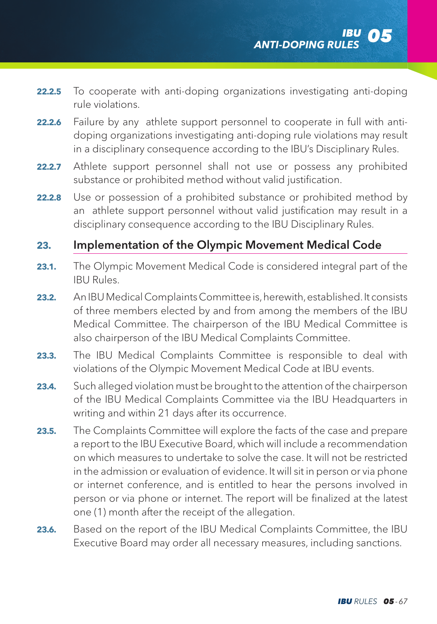- **22.2.5** To cooperate with anti-doping organizations investigating anti-doping rule violations.
- **22.2.6** Failure by any athlete support personnel to cooperate in full with antidoping organizations investigating anti-doping rule violations may result in a disciplinary consequence according to the IBU's Disciplinary Rules.
- **22.2.7** Athlete support personnel shall not use or possess any prohibited substance or prohibited method without valid justification.
- **22.2.8** Use or possession of a prohibited substance or prohibited method by an athlete support personnel without valid justification may result in a disciplinary consequence according to the IBU Disciplinary Rules.

## **23.** Implementation of the Olympic Movement Medical Code

- **23.1.** The Olympic Movement Medical Code is considered integral part of the IBU Rules.
- **23.2.** An IBU Medical Complaints Committee is, herewith, established. It consists of three members elected by and from among the members of the IBU Medical Committee. The chairperson of the IBU Medical Committee is also chairperson of the IBU Medical Complaints Committee.
- **23.3.** The IBU Medical Complaints Committee is responsible to deal with violations of the Olympic Movement Medical Code at IBU events.
- **23.4.** Such alleged violation must be brought to the attention of the chairperson of the IBU Medical Complaints Committee via the IBU Headquarters in writing and within 21 days after its occurrence.
- **23.5.** The Complaints Committee will explore the facts of the case and prepare a report to the IBU Executive Board, which will include a recommendation on which measures to undertake to solve the case. It will not be restricted in the admission or evaluation of evidence. It will sit in person or via phone or internet conference, and is entitled to hear the persons involved in person or via phone or internet. The report will be finalized at the latest one (1) month after the receipt of the allegation.
- **23.6.** Based on the report of the IBU Medical Complaints Committee, the IBU Executive Board may order all necessary measures, including sanctions.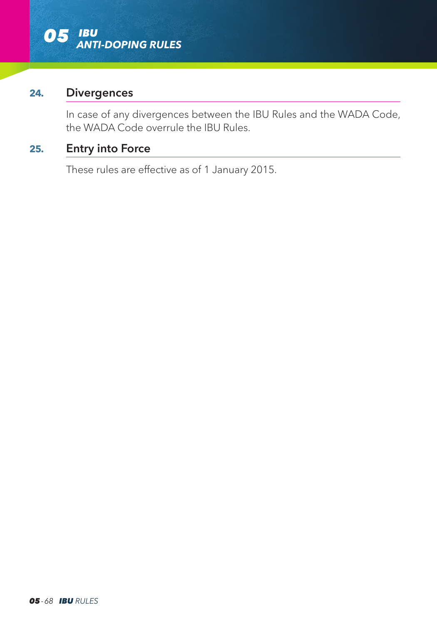

### **24.** Divergences

 In case of any divergences between the IBU Rules and the WADA Code, the WADA Code overrule the IBU Rules.

# **25.** Entry into Force

These rules are effective as of 1 January 2015.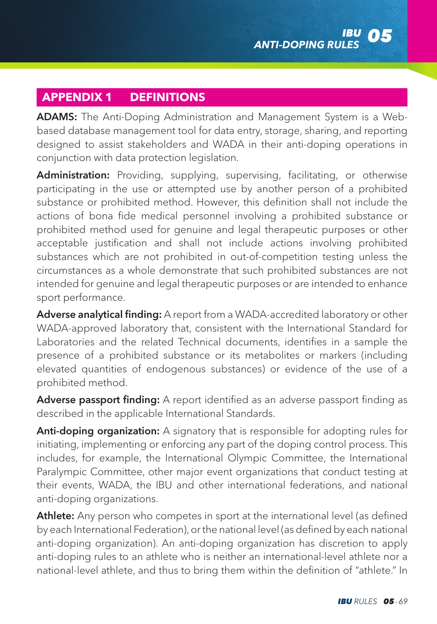# **APPENDIX 1 DEFINITIONS**

ADAMS: The Anti-Doping Administration and Management System is a Webbased database management tool for data entry, storage, sharing, and reporting designed to assist stakeholders and WADA in their anti-doping operations in conjunction with data protection legislation.

Administration: Providing, supplying, supervising, facilitating, or otherwise participating in the use or attempted use by another person of a prohibited substance or prohibited method. However, this definition shall not include the actions of bona fide medical personnel involving a prohibited substance or prohibited method used for genuine and legal therapeutic purposes or other acceptable justification and shall not include actions involving prohibited substances which are not prohibited in out-of-competition testing unless the circumstances as a whole demonstrate that such prohibited substances are not intended for genuine and legal therapeutic purposes or are intended to enhance sport performance.

Adverse analytical finding: A report from a WADA-accredited laboratory or other WADA-approved laboratory that, consistent with the International Standard for Laboratories and the related Technical documents, identifies in a sample the presence of a prohibited substance or its metabolites or markers (including elevated quantities of endogenous substances) or evidence of the use of a prohibited method.

Adverse passport finding: A report identified as an adverse passport finding as described in the applicable International Standards.

Anti-doping organization: A signatory that is responsible for adopting rules for initiating, implementing or enforcing any part of the doping control process. This includes, for example, the International Olympic Committee, the International Paralympic Committee, other major event organizations that conduct testing at their events, WADA, the IBU and other international federations, and national anti-doping organizations.

Athlete: Any person who competes in sport at the international level (as defined by each International Federation), or the national level (as defined by each national anti-doping organization). An anti-doping organization has discretion to apply anti-doping rules to an athlete who is neither an international-level athlete nor a national-level athlete, and thus to bring them within the definition of "athlete." In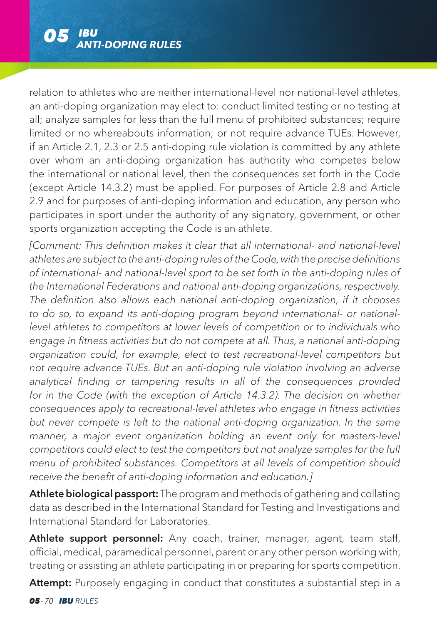relation to athletes who are neither international-level nor national-level athletes, an anti-doping organization may elect to: conduct limited testing or no testing at all; analyze samples for less than the full menu of prohibited substances; require limited or no whereabouts information; or not require advance TUEs. However, if an Article 2.1, 2.3 or 2.5 anti-doping rule violation is committed by any athlete over whom an anti-doping organization has authority who competes below the international or national level, then the consequences set forth in the Code (except Article 14.3.2) must be applied. For purposes of Article 2.8 and Article 2.9 and for purposes of anti-doping information and education, any person who participates in sport under the authority of any signatory, government, or other sports organization accepting the Code is an athlete.

*[Comment: This definition makes it clear that all international- and national-level athletes are subject to the anti-doping rules of the Code, with the precise definitions of international- and national-level sport to be set forth in the anti-doping rules of the International Federations and national anti-doping organizations, respectively. The definition also allows each national anti-doping organization, if it chooses to do so, to expand its anti-doping program beyond international- or nationallevel athletes to competitors at lower levels of competition or to individuals who engage in fitness activities but do not compete at all. Thus, a national anti-doping organization could, for example, elect to test recreational-level competitors but not require advance TUEs. But an anti-doping rule violation involving an adverse analytical finding or tampering results in all of the consequences provided*  for in the Code (with the exception of Article 14.3.2). The decision on whether *consequences apply to recreational-level athletes who engage in fitness activities but never compete is left to the national anti-doping organization. In the same*  manner, a major event organization holding an event only for masters-level *competitors could elect to test the competitors but not analyze samples for the full menu of prohibited substances. Competitors at all levels of competition should receive the benefit of anti-doping information and education.]* 

Athlete biological passport: The program and methods of gathering and collating data as described in the International Standard for Testing and Investigations and International Standard for Laboratories.

Athlete support personnel: Any coach, trainer, manager, agent, team staff, official, medical, paramedical personnel, parent or any other person working with, treating or assisting an athlete participating in or preparing for sports competition.

Attempt: Purposely engaging in conduct that constitutes a substantial step in a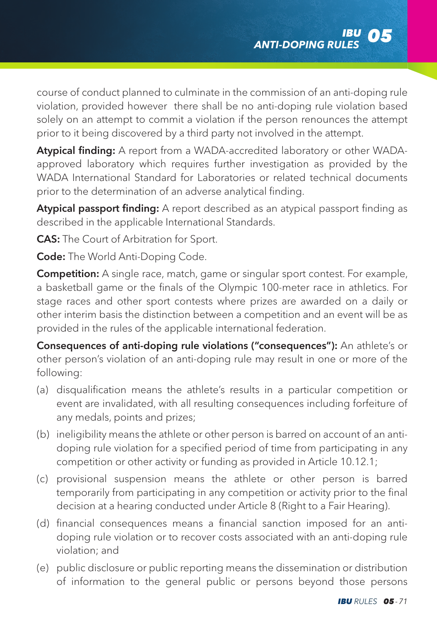course of conduct planned to culminate in the commission of an anti-doping rule violation, provided however there shall be no anti-doping rule violation based solely on an attempt to commit a violation if the person renounces the attempt prior to it being discovered by a third party not involved in the attempt.

Atypical finding: A report from a WADA-accredited laboratory or other WADAapproved laboratory which requires further investigation as provided by the WADA International Standard for Laboratories or related technical documents prior to the determination of an adverse analytical finding.

Atypical passport finding: A report described as an atypical passport finding as described in the applicable International Standards.

**CAS:** The Court of Arbitration for Sport.

Code: The World Anti-Doping Code.

**Competition:** A single race, match, game or singular sport contest. For example, a basketball game or the finals of the Olympic 100-meter race in athletics. For stage races and other sport contests where prizes are awarded on a daily or other interim basis the distinction between a competition and an event will be as provided in the rules of the applicable international federation.

Consequences of anti-doping rule violations ("consequences"): An athlete's or other person's violation of an anti-doping rule may result in one or more of the following:

- (a) disqualification means the athlete's results in a particular competition or event are invalidated, with all resulting consequences including forfeiture of any medals, points and prizes;
- (b) ineligibility means the athlete or other person is barred on account of an antidoping rule violation for a specified period of time from participating in any competition or other activity or funding as provided in Article 10.12.1;
- (c) provisional suspension means the athlete or other person is barred temporarily from participating in any competition or activity prior to the final decision at a hearing conducted under Article 8 (Right to a Fair Hearing).
- (d) financial consequences means a financial sanction imposed for an antidoping rule violation or to recover costs associated with an anti-doping rule violation; and
- (e) public disclosure or public reporting means the dissemination or distribution of information to the general public or persons beyond those persons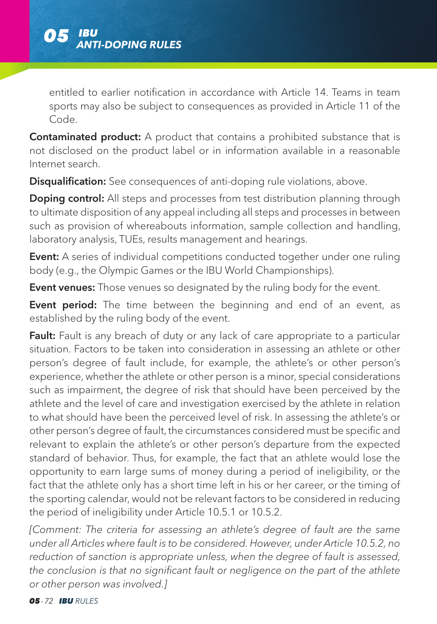

entitled to earlier notification in accordance with Article 14. Teams in team sports may also be subject to consequences as provided in Article 11 of the Code.

Contaminated product: A product that contains a prohibited substance that is not disclosed on the product label or in information available in a reasonable Internet search.

**Disqualification:** See consequences of anti-doping rule violations, above.

**Doping control:** All steps and processes from test distribution planning through to ultimate disposition of any appeal including all steps and processes in between such as provision of whereabouts information, sample collection and handling, laboratory analysis, TUEs, results management and hearings.

Event: A series of individual competitions conducted together under one ruling body (e.g., the Olympic Games or the IBU World Championships).

Event venues: Those venues so designated by the ruling body for the event.

**Event period:** The time between the beginning and end of an event, as established by the ruling body of the event.

Fault: Fault is any breach of duty or any lack of care appropriate to a particular situation. Factors to be taken into consideration in assessing an athlete or other person's degree of fault include, for example, the athlete's or other person's experience, whether the athlete or other person is a minor, special considerations such as impairment, the degree of risk that should have been perceived by the athlete and the level of care and investigation exercised by the athlete in relation to what should have been the perceived level of risk. In assessing the athlete's or other person's degree of fault, the circumstances considered must be specific and relevant to explain the athlete's or other person's departure from the expected standard of behavior. Thus, for example, the fact that an athlete would lose the opportunity to earn large sums of money during a period of ineligibility, or the fact that the athlete only has a short time left in his or her career, or the timing of the sporting calendar, would not be relevant factors to be considered in reducing the period of ineligibility under Article 10.5.1 or 10.5.2.

*[Comment: The criteria for assessing an athlete's degree of fault are the same under all Articles where fault is to be considered. However, under Article 10.5.2, no reduction of sanction is appropriate unless, when the degree of fault is assessed, the conclusion is that no significant fault or negligence on the part of the athlete or other person was involved.]*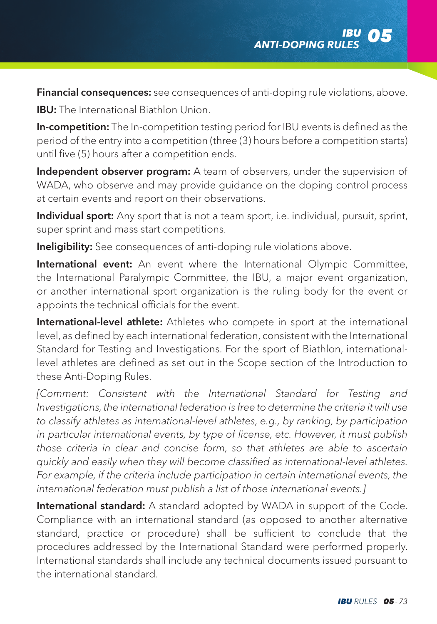Financial consequences: see consequences of anti-doping rule violations, above.

**IBU:** The International Biathlon Union.

In-competition: The In-competition testing period for IBU events is defined as the period of the entry into a competition (three (3) hours before a competition starts) until five (5) hours after a competition ends.

Independent observer program: A team of observers, under the supervision of WADA, who observe and may provide guidance on the doping control process at certain events and report on their observations.

Individual sport: Any sport that is not a team sport, i.e. individual, pursuit, sprint, super sprint and mass start competitions.

Ineligibility: See consequences of anti-doping rule violations above.

International event: An event where the International Olympic Committee, the International Paralympic Committee, the IBU, a major event organization, or another international sport organization is the ruling body for the event or appoints the technical officials for the event.

International-level athlete: Athletes who compete in sport at the international level, as defined by each international federation, consistent with the International Standard for Testing and Investigations. For the sport of Biathlon, internationallevel athletes are defined as set out in the Scope section of the Introduction to these Anti-Doping Rules.

*[Comment: Consistent with the International Standard for Testing and Investigations, the international federation is free to determine the criteria it will use to classify athletes as international-level athletes, e.g., by ranking, by participation in particular international events, by type of license, etc. However, it must publish those criteria in clear and concise form, so that athletes are able to ascertain quickly and easily when they will become classified as international-level athletes.*  For example, if the criteria include participation in certain international events, the *international federation must publish a list of those international events.]*

International standard: A standard adopted by WADA in support of the Code. Compliance with an international standard (as opposed to another alternative standard, practice or procedure) shall be sufficient to conclude that the procedures addressed by the International Standard were performed properly. International standards shall include any technical documents issued pursuant to the international standard.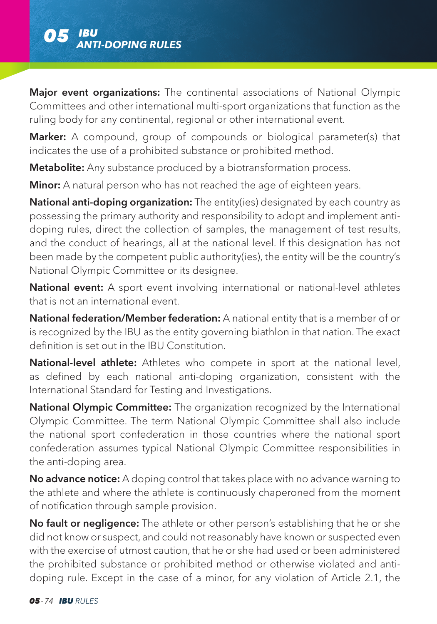

Major event organizations: The continental associations of National Olympic Committees and other international multi-sport organizations that function as the ruling body for any continental, regional or other international event.

Marker: A compound, group of compounds or biological parameter(s) that indicates the use of a prohibited substance or prohibited method.

**Metabolite:** Any substance produced by a biotransformation process.

**Minor:** A natural person who has not reached the age of eighteen years.

National anti-doping organization: The entity(ies) designated by each country as possessing the primary authority and responsibility to adopt and implement antidoping rules, direct the collection of samples, the management of test results, and the conduct of hearings, all at the national level. If this designation has not been made by the competent public authority(ies), the entity will be the country's National Olympic Committee or its designee.

National event: A sport event involving international or national-level athletes that is not an international event.

National federation/Member federation: A national entity that is a member of or is recognized by the IBU as the entity governing biathlon in that nation. The exact definition is set out in the IBU Constitution.

National-level athlete: Athletes who compete in sport at the national level. as defined by each national anti-doping organization, consistent with the International Standard for Testing and Investigations.

National Olympic Committee: The organization recognized by the International Olympic Committee. The term National Olympic Committee shall also include the national sport confederation in those countries where the national sport confederation assumes typical National Olympic Committee responsibilities in the anti-doping area.

No advance notice: A doping control that takes place with no advance warning to the athlete and where the athlete is continuously chaperoned from the moment of notification through sample provision.

No fault or negligence: The athlete or other person's establishing that he or she did not know or suspect, and could not reasonably have known or suspected even with the exercise of utmost caution, that he or she had used or been administered the prohibited substance or prohibited method or otherwise violated and antidoping rule. Except in the case of a minor, for any violation of Article 2.1, the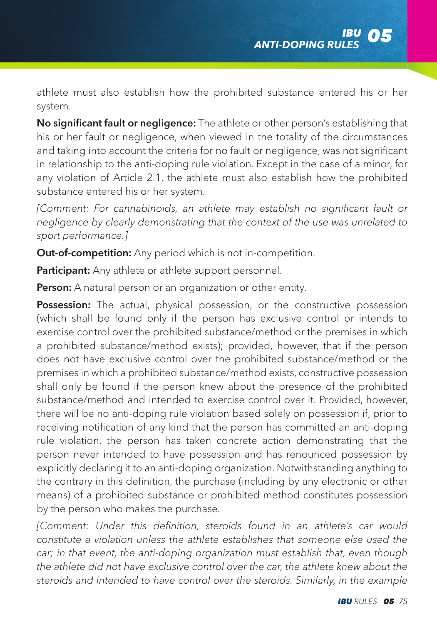athlete must also establish how the prohibited substance entered his or her system.

No significant fault or negligence: The athlete or other person's establishing that his or her fault or negligence, when viewed in the totality of the circumstances and taking into account the criteria for no fault or negligence, was not significant in relationship to the anti-doping rule violation. Except in the case of a minor, for any violation of Article 2.1, the athlete must also establish how the prohibited substance entered his or her system.

*[Comment: For cannabinoids, an athlete may establish no significant fault or negligence by clearly demonstrating that the context of the use was unrelated to sport performance.]*

Out-of-competition: Any period which is not in-competition.

Participant: Any athlete or athlete support personnel.

Person: A natural person or an organization or other entity.

**Possession:** The actual, physical possession, or the constructive possession (which shall be found only if the person has exclusive control or intends to exercise control over the prohibited substance/method or the premises in which a prohibited substance/method exists); provided, however, that if the person does not have exclusive control over the prohibited substance/method or the premises in which a prohibited substance/method exists, constructive possession shall only be found if the person knew about the presence of the prohibited substance/method and intended to exercise control over it. Provided, however, there will be no anti-doping rule violation based solely on possession if, prior to receiving notification of any kind that the person has committed an anti-doping rule violation, the person has taken concrete action demonstrating that the person never intended to have possession and has renounced possession by explicitly declaring it to an anti-doping organization. Notwithstanding anything to the contrary in this definition, the purchase (including by any electronic or other means) of a prohibited substance or prohibited method constitutes possession by the person who makes the purchase.

*[Comment: Under this definition, steroids found in an athlete's car would constitute a violation unless the athlete establishes that someone else used the car; in that event, the anti-doping organization must establish that, even though the athlete did not have exclusive control over the car, the athlete knew about the steroids and intended to have control over the steroids. Similarly, in the example*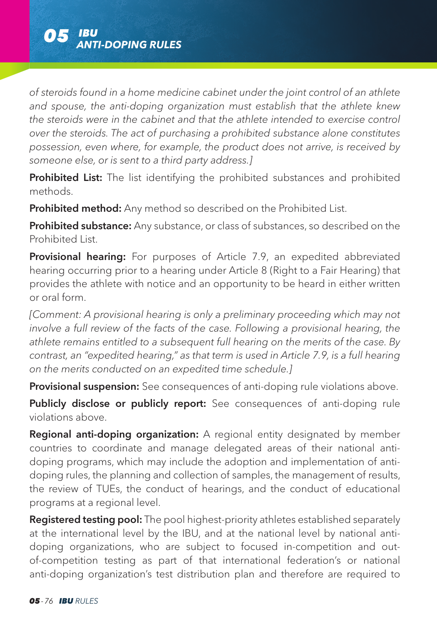*of steroids found in a home medicine cabinet under the joint control of an athlete and spouse, the anti-doping organization must establish that the athlete knew the steroids were in the cabinet and that the athlete intended to exercise control over the steroids. The act of purchasing a prohibited substance alone constitutes possession, even where, for example, the product does not arrive, is received by someone else, or is sent to a third party address.]*

Prohibited List: The list identifying the prohibited substances and prohibited methods.

**Prohibited method:** Any method so described on the Prohibited List.

**Prohibited substance:** Any substance, or class of substances, so described on the Prohibited List.

Provisional hearing: For purposes of Article 7.9, an expedited abbreviated hearing occurring prior to a hearing under Article 8 (Right to a Fair Hearing) that provides the athlete with notice and an opportunity to be heard in either written or oral form.

*[Comment: A provisional hearing is only a preliminary proceeding which may not involve a full review of the facts of the case. Following a provisional hearing, the athlete remains entitled to a subsequent full hearing on the merits of the case. By contrast, an "expedited hearing," as that term is used in Article 7.9, is a full hearing on the merits conducted on an expedited time schedule.]*

Provisional suspension: See consequences of anti-doping rule violations above.

Publicly disclose or publicly report: See consequences of anti-doping rule violations above.

**Regional anti-doping organization:** A regional entity designated by member countries to coordinate and manage delegated areas of their national antidoping programs, which may include the adoption and implementation of antidoping rules, the planning and collection of samples, the management of results, the review of TUEs, the conduct of hearings, and the conduct of educational programs at a regional level.

Registered testing pool: The pool highest-priority athletes established separately at the international level by the IBU, and at the national level by national antidoping organizations, who are subject to focused in-competition and outof-competition testing as part of that international federation's or national anti-doping organization's test distribution plan and therefore are required to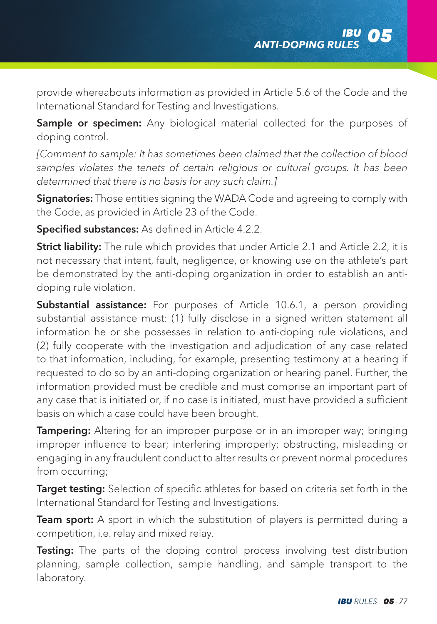provide whereabouts information as provided in Article 5.6 of the Code and the International Standard for Testing and Investigations.

Sample or specimen: Any biological material collected for the purposes of doping control.

*[Comment to sample: It has sometimes been claimed that the collection of blood*  samples violates the tenets of certain religious or cultural groups. It has been *determined that there is no basis for any such claim.]*

**Signatories:** Those entities signing the WADA Code and agreeing to comply with the Code, as provided in Article 23 of the Code.

Specified substances: As defined in Article 4.2.2.

Strict liability: The rule which provides that under Article 2.1 and Article 2.2, it is not necessary that intent, fault, negligence, or knowing use on the athlete's part be demonstrated by the anti-doping organization in order to establish an antidoping rule violation.

Substantial assistance: For purposes of Article 10.6.1, a person providing substantial assistance must: (1) fully disclose in a signed written statement all information he or she possesses in relation to anti-doping rule violations, and (2) fully cooperate with the investigation and adjudication of any case related to that information, including, for example, presenting testimony at a hearing if requested to do so by an anti-doping organization or hearing panel. Further, the information provided must be credible and must comprise an important part of any case that is initiated or, if no case is initiated, must have provided a sufficient basis on which a case could have been brought.

**Tampering:** Altering for an improper purpose or in an improper way; bringing improper influence to bear; interfering improperly; obstructing, misleading or engaging in any fraudulent conduct to alter results or prevent normal procedures from occurring;

**Target testing:** Selection of specific athletes for based on criteria set forth in the International Standard for Testing and Investigations.

Team sport: A sport in which the substitution of players is permitted during a competition, i.e. relay and mixed relay.

Testing: The parts of the doping control process involving test distribution planning, sample collection, sample handling, and sample transport to the laboratory.